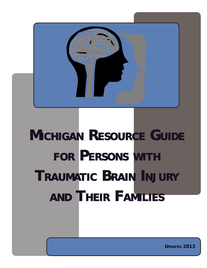

# **MICHIGAN RESOURCE GUIDE FOR PERSONS WITH TRAUMATIC BRAIN INJURY AND THEIR FAMILIES**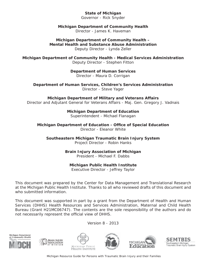#### **State of Michigan**

Governor - Rick Snyder

#### **Michigan Department of Community Health**

Director - James K. Haveman

**Michigan Department of Community Health – Mental Health and Substance Abuse Administration** Deputy Director - Lynda Zeller

**Michigan Department of Community Health - Medical Services Administration** Deputy Director - Stephen Fitton

> **Department of Human Services** Director - Maura D. Corrigan

**Department of Human Services, Children's Services Administration** Director - Steve Yager

**Michigan Department of Military and Veterans Affairs** Director and Adjutant General for Veterans Affairs - Maj. Gen. Gregory J. Vadnais

**Michigan Department of Education** 

Superintendent - Michael Flanagan

**Michigan Department of Education - Offi ce of Special Education**  Director - Eleanor White

**Southeastern Michigan Traumatic Brain Injury System**  Project Director - Robin Hanks

> **Brain Injury Association of Michigan**  President - Michael F. Dabbs

**Michigan Public Health Institute** 

Executive Director - Jeffrey Taylor

This document was prepared by the Center for Data Management and Translational Research at the Michigan Public Health Institute. Thanks to all who reviewed drafts of this document and who submitted information.

This document was supported in part by a grant from the Department of Health and Human Services (DHHS) Health Resources and Services Administration, Maternal and Child Health Bureau (Grant H21MC06747). The contents are the sole responsibility of the authors and do not necessarily represent the official view of DHHS.

Version 8 - 2013













*Michigan Resource Guide for Persons with Traumatic Brain Injury and their Families*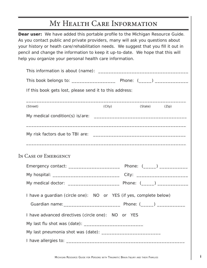### My Health Care Information

Dear user: We have added this portable profile to the Michigan Resource Guide. As you contact public and private providers, many will ask you questions about your history or heath care/rehabilitation needs. We suggest that you fill it out in pencil and change the information to keep it up-to-date. We hope that this will help you organize your personal health care information.

| If this book gets lost, please send it to this address: |                                                                    |
|---------------------------------------------------------|--------------------------------------------------------------------|
| (Street)                                                | (City)<br>(State)<br>(Zip)                                         |
|                                                         |                                                                    |
|                                                         |                                                                    |
|                                                         |                                                                    |
| IN CASE OF EMERGENCY                                    |                                                                    |
|                                                         |                                                                    |
|                                                         |                                                                    |
|                                                         |                                                                    |
|                                                         |                                                                    |
|                                                         | I have a guardian (circle one): NO or YES (if yes, complete below) |
|                                                         |                                                                    |
| I have advanced directives (circle one): NO or YES      |                                                                    |
|                                                         |                                                                    |
|                                                         |                                                                    |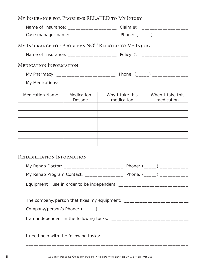| MY INSURANCE FOR PROBLEMS RELATED TO MY INJURY |                      |                                                                                  |                                |
|------------------------------------------------|----------------------|----------------------------------------------------------------------------------|--------------------------------|
|                                                |                      | Name of Insurance: ________________________________Claim #: ____________________ |                                |
|                                                |                      |                                                                                  |                                |
|                                                |                      | MY INSURANCE FOR PROBLEMS NOT RELATED TO MY INJURY                               |                                |
|                                                |                      |                                                                                  |                                |
| <b>MEDICATION INFORMATION</b>                  |                      |                                                                                  |                                |
|                                                |                      |                                                                                  |                                |
| My Medications:                                |                      |                                                                                  |                                |
| <b>Medication Name</b>                         | Medication<br>Dosage | Why I take this<br>medication                                                    | When I take this<br>medication |
|                                                |                      |                                                                                  |                                |
|                                                |                      |                                                                                  |                                |
|                                                |                      |                                                                                  |                                |
|                                                |                      |                                                                                  |                                |
|                                                |                      |                                                                                  |                                |
| REHABILITATION INFORMATION                     |                      |                                                                                  |                                |
| My Rehab Doctor: _______________               |                      |                                                                                  |                                |
|                                                |                      |                                                                                  |                                |
|                                                |                      |                                                                                  |                                |
|                                                |                      |                                                                                  |                                |
|                                                |                      | Company/person's Phone: (_____) ______________________                           |                                |
|                                                |                      |                                                                                  |                                |
|                                                |                      |                                                                                  |                                |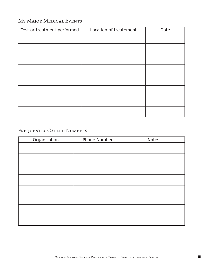### My Major Medical Events

| Test or treatment performed | Location of treatement | Date |
|-----------------------------|------------------------|------|
|                             |                        |      |
|                             |                        |      |
|                             |                        |      |
|                             |                        |      |
|                             |                        |      |
|                             |                        |      |
|                             |                        |      |
|                             |                        |      |
|                             |                        |      |
|                             |                        |      |

### Frequently Called Numbers

| Organization | Phone Number | <b>Notes</b> |
|--------------|--------------|--------------|
|              |              |              |
|              |              |              |
|              |              |              |
|              |              |              |
|              |              |              |
|              |              |              |
|              |              |              |
|              |              |              |
|              |              |              |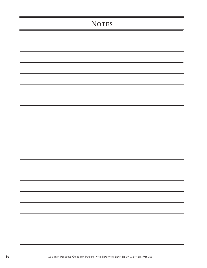| <b>NOTES</b> |
|--------------|
|              |
|              |
|              |
|              |
|              |
|              |
|              |
|              |
|              |
|              |
|              |
|              |
|              |
|              |
|              |
|              |
|              |
|              |
|              |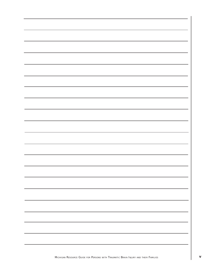| Ξ. |
|----|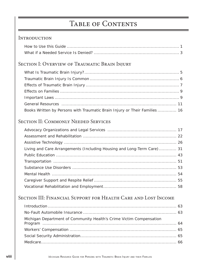### TABLE OF CONTENTS

### **INTRODUCTION**

### SECTION I: OVERVIEW OF TRAUMATIC BRAIN INJURY

| Books Written by Persons with Traumatic Brain Injury or Their Families  16 |  |
|----------------------------------------------------------------------------|--|

### SECTION II: COMMONLY NEEDED SERVICES

| Living and Care Arrangements (Including Housing and Long-Term Care) 31 |
|------------------------------------------------------------------------|
|                                                                        |
|                                                                        |
|                                                                        |
|                                                                        |
|                                                                        |
|                                                                        |

### Section III: Financial Support for Health Care and Lost Income

| Michigan Department of Community Health's Crime Victim Compensation |  |
|---------------------------------------------------------------------|--|
|                                                                     |  |
|                                                                     |  |
|                                                                     |  |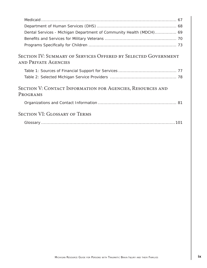| Dental Services - Michigan Department of Community Health (MDCH) 69                    |
|----------------------------------------------------------------------------------------|
|                                                                                        |
|                                                                                        |
| SECTION IV: SUMMARY OF SERVICES OFFERED BY SELECTED GOVERNMENT<br>AND PRIVATE AGENCIES |
|                                                                                        |
|                                                                                        |
| <b>SECTION V: CONTACT INFORMATION FOR AGENCIES, RESOURCES AND</b><br>PROGRAMS          |
|                                                                                        |
| <b>SECTION VI: GLOSSARY OF TERMS</b>                                                   |
|                                                                                        |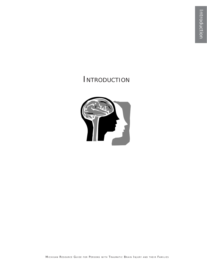### **INTRODUCTION**

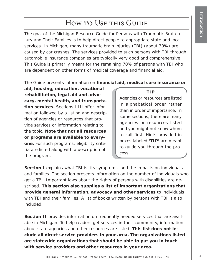### How to Use this Guide

The goal of the *Michigan Resource Guide for Persons with Traumatic Brain Injury and Their Families* is to help direct people to appropriate state and local services. In Michigan, many traumatic brain injuries (TBI) (about 30%) are caused by car crashes. The services provided to such persons with TBI through automobile insurance companies are typically very good and comprehensive. This *Guide* is primarily meant for the remaining 70% of persons with TBI who are dependent on other forms of medical coverage and financial aid.

The *Guide* presents information on **financial aid, medical care insurance or** 

**aid, housing, education, vocational rehabilitation, legal aid and advocacy, mental health, and transportation services.** Sections I-III offer information followed by a listing and description of agencies or resources that provide services or information relating to the topic. **Note that not all resources or programs are available to everyone.** For such programs, eligibility criteria are listed along with a description of the program.

#### **TIP**

Agencies or resources are listed in alphabetical order rather than in order of importance. In some sections, there are many agencies or resources listed and you might not know whom to call first. Hints provided in boxes labeled **'TIP'** are meant to guide you through the process.

**Section I** explains what TBI is, its symptoms, and the impacts on individuals and families. The section presents information on the number of individuals who get a TBI. Important laws about the rights of persons with disabilities are described. **This section also supplies a list of important organizations that provide general information, advocacy and other services** to individuals with TBI and their families. A list of books written by persons with TBI is also included.

**Section II** provides information on frequently needed services that are available in Michigan. To help readers get services in their community, information about state agencies and other resources are listed. **This list does not include** *all* **direct service providers in your area. The organizations listed are statewide organizations that should be able to put you in touch with service providers and other resources in your area.**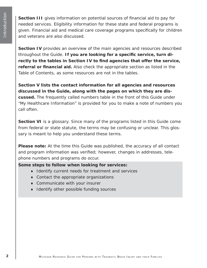**Section III** gives information on potential sources of financial aid to pay for needed services. Eligibility information for these state and federal programs is given. Financial aid and medical care coverage programs specifically for children and veterans are also discussed.

**Section IV** provides an overview of the main agencies and resources described throughout the *Guide*. If you are looking for a specific service, turn directly to the tables in Section IV to find agencies that offer the service, **referral or financial aid.** Also check the appropriate section as listed in the Table of Contents, as some resources are not in the tables.

**Section V lists the contact information for all agencies and resources discussed in the** *Guide***, along with the pages on which they are discussed.** The frequently called numbers table in the front of this Guide under "My Healthcare Information" is provided for you to make a note of numbers you call often.

**Section VI** is a glossary. Since many of the programs listed in this *Guide* come from federal or state statute, the terms may be confusing or unclear. This glossary is meant to help you understand these terms.

**Please note:** At the time this *Guide* was published, the accuracy of all contact and program information was verified; however, changes in addresses, telephone numbers and programs do occur.

**Some steps to follow when looking for services:**

- ♦ Identify current needs for treatment and services
- Contact the appropriate organizations
- Communicate with your insurer
- $\bullet$  Identify other possible funding sources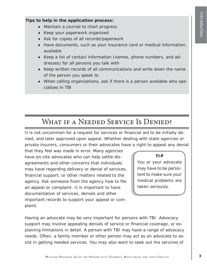#### **Tips to help in the application process:**

- Maintain a journal to chart progress
- Keep your paperwork organized
- Ask for copies of all records/paperwork
- Have documents, such as your insurance card or medical information, available
- Keep a list of contact information (names, phone numbers, and addresses) for all persons you talk with
- Keep written records of all communications and write down the name of the person you speak to
- When calling organizations, ask if there is a person available who specializes in TBI

### WHAT IF A NEEDED SERVICE IS DENIED?

It is not uncommon for a request for services or financial aid to be initially denied, and later approved upon appeal. Whether dealing with state agencies or private insurers, consumers or their advocates have a right to appeal any denial

*MICHIGAN RESOURCE GUIDE FOR PERSONS WITH TRAUMATIC BRAIN INJURY AND THEIR FAMILIES* **3**Introduction that they feel was made in error. Many agencies have on-site advocates who can help settle disagreements and other concerns that individuals may have regarding delivery or denial of services, financial support, or other matters related to the agency. Ask someone from the agency how to file an appeal or complaint. It is important to have documentation of services, denials and other important records to support your appeal or complaint.

#### **TIP**

You or your advocate may have to be persistent to make sure your medical problems are taken seriously.

Having an advocate may be very important for persons with TBI. Advocacy support may involve appealing denials of service or financial coverage, or explaining limitations in detail. A person with TBI may have a range of advocacy needs. Often, a family member or other person may act as an advocate to assist in getting needed services. You may also want to seek out the services of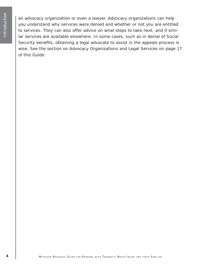Introduction Introduction

an advocacy organization or even a lawyer. Advocacy organizations can help you understand why services were denied and whether or not you are entitled to services. They can also offer advice on what steps to take next, and if similar services are available elsewhere. In some cases, such as in denial of Social Security benefits, obtaining a legal advocate to assist in the appeals process is wise. See the section on Advocacy Organizations and Legal Services on page 17 of this *Guide*.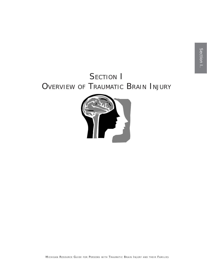### **SECTION** I OVERVIEW OF TRAUMATIC BRAIN INJURY

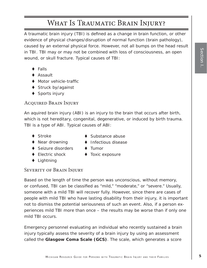## WHAT IS TRAUMATIC BRAIN INJURY?

A traumatic brain injury (TBI) is defined as a change in brain function, or other evidence of physical changes/disruption of normal function (brain pathology), caused by an external physical force. However, not all bumps on the head result in TBI. TBI may or may not be combined with loss of consciousness, an open wound, or skull fracture. Typical causes of TBI:

- $\triangle$  Falls
- Assault
- $\blacklozenge$  Motor vehicle-traffic
- ◆ Struck by/against
- ◆ Sports injury

### Acquired Brain Injury

An aquired brain injury (ABI) is an injury to the brain that occurs after birth, which is not hereditary, congenital, degenerative, or induced by birth trauma. TBI is a type of ABI. Typical causes of ABI:

◆ Stroke

- $\blacklozenge$  Substance abuse
- ◆ Near drowning
- ◆ Seizure disorders
- ◆ Electric shock
- ◆ Lightning

### SEVERITY OF BRAIN INJURY

**MICHIGAN RESOURCE CONSTRESS** an open<br> **MACHIGAN RESOURCE CONSTRESS**<br> **M**<br> **MICHIGAN RESOURCE THEIR FIGURE CONSTRESS**<br> **MICHIGAN RESOURCE THEIR FAMILIES**<br> **CONSTRES**<br> **MICHIGAN RESONS**<br> **PICE AND AT PRAIN INJURY**<br> **CONSTRE** Based on the length of time the person was unconscious, without memory, or confused, TBI can be classified as "mild," "moderate," or "severe." Usually, someone with a mild TBI will recover fully. However, since there are cases of people with mild TBI who have lasting disability from their injury, it is important not to dismiss the potential seriousness of such an event. Also, if a person experiences mild TBI more than once – the results may be worse than if only one mild TBI occurs.

Emergency personnel evaluating an individual who recently sustained a brain injury typically assess the severity of a brain injury by using an assessment called the **Glasgow Coma Scale (GCS)**. The scale, which generates a score

- 
- **Infectious disease**

◆ Toxic exposure

**↑** Tumor

- 
-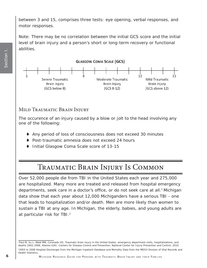between 3 and 15, comprises three tests: eye opening, verbal responses, and motor responses.

*Note: There may be no correlation between the initial GCS score and the initial level of brain injury and a person's short or long-term recovery or functional abilities.* 



### Mild Traumatic Brain Injury

The occurence of an injury caused by a blow or jolt to the head involving any one of the following:

- Any period of loss of consciousness does not exceed 30 minutes
- Post-traumatic amnesia does not exceed 24 hours
- ♦ Initial Glasgow Coma Scale score of 13-15

### Traumatic Brain Injury Is Common

**6 6 6** *S* **EXERCE FOR PERSONS COMM SCALE (GCS)**<br> **6 Secret Fraumatic**<br> **BRAIN RESOURCE FOR PERSONS** *CCS above*<br> **FRAUMATIC BRAIN INJURY** (CCS above<br> **FRAUMATIC BRAIN INJURY** (CCS above<br> **FRAUMATIC BRAIN INJURY** Over 52,000 people die from TBI in the United States each year and 275,000 are hospitalized. Many more are treated and released from hospital emergency departments, seek care in a doctor's office, or do not seek care at all.<sup>1</sup> Michigan data show that each year about 12,000 Michiganders have a serious TBI - one that leads to hospitalization and/or death. Men are more likely than women to sustain a TBI at any age. In Michigan, the elderly, babies, and young adults are at particular risk for TBI.2

<sup>1</sup>Faul M, Xu L, Wald MM, Coronado VG. Traumatic brain injury in the United States: emergency department visits, hospitalizations, and deaths 2002-2006. Atlanta (GA): Centers for Disease Control and Prevention, National Center for Injury Prevention and Control; 2010. 22003 to 2008 Hospital Discharges from the Michigan Inpatient Database and Mortality Data from the MDCH Division of Vital Records and Health Statistics.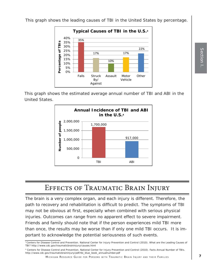This graph shows the leading causes of TBI in the United States by percentage.



This graph shows the estimated average annual number of TBI and ABI in the United States.



### Effects of Traumatic Brain Injury

The brain is a very complex organ, and each injury is different. Therefore, the path to recovery and rehabilitation is difficult to predict. The symptoms of TBI may not be obvious at first, especially when combined with serious physical injuries. Outcomes can range from no apparent effect to severe impairment. Friends and family should note that if the person experiences mild TBI more than once, the results may be worse than if only one mild TBI occurs. It is important to acknowledge the potential seriousness of such events.

<sup>&</sup>lt;sup>3</sup> Centers for Disease Control and Prevention. National Center for Injury Prevention and Control (2010). What are the Leading Causes of TBI? http://www.cdc.gov/traumaticbraininjury/causes.html

<sup>4</sup> Centers for Disease Control and Prevention. National Center for Injury Prevention and Control (2010). Facts Annual Number of TBIs. http://www.cdc.gov/traumaticbraininjury/pdf/tbi\_blue\_book\_annualnumber.pdf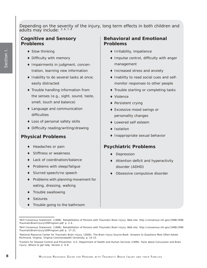Depending on the severity of the injury, long term effects in both children and adults may include: 5, 6, 7, 8

#### **Cognitive and Sensory Problems**

- ◆ Slow thinking
- $\blacklozenge$  Difficulty with memory
- Impairments in judgment, concen tration, learning new information
- ♦ Inability to do several tasks at once; easily distracted
- **8 Example 2 Confirming the control in the control in the section of the south of the south (and the south of the south (and the south of the south of the south of the south of the south of the south of the south of t**  Trouble handling information from the senses (e.g., sight, sound, taste, smell, touch and balance)
	- Language and communication difficulties
	- ◆ Loss of personal safety skills
	- ♦ Difficulty reading/writing/drawing

### **Physical Problems**

- ◆ Headaches or pain
- ◆ Stiffness or weakness
- ◆ Lack of coordination/balance
- ♦ Problems with sleep/fatique
- ◆ Slurred speech/no speech
- ♦ Problems with planning movement for eating, dressing, walking
- Trouble swallowing
- Seizures
- Trouble going to the bathroom

### **Behavioral and Emotional Problems**

- $\blacklozenge$  Irritability, impatience
- $\bullet$  Impulse control, difficulty with anger management
- ◆ Increased stress and anxiety
- Inability to read social cues and self monitor responses to other people
- ◆ Trouble starting or completing tasks
- ◆ Violence
- ◆ Persistent crying
- Excessive mood swings or personality changes
- ◆ Lowered self esteem
- ◆ Isolation
- Inappropriate sexual behavior

### **Psychiatric Problems**

- Depression
- $\triangleleft$  Attention deficit and hyperactivity disorder (ADHD)
- ◆ Obsessive compulsive disorder

<sup>5</sup>NIH Consensus Statement. (1998). Rehabilitation of Persons with Traumatic Brain Injury. Web site: http://consensus.nih.gov/1998/1998 TraumaticBrainInjury109Program.pdf, p. 2-4.

<sup>6</sup>NIH Consensus Statement. (1998). Rehabilitation of Persons with Traumatic Brain Injury. Web site: http://consensus.nih.gov/1998/1998 TraumaticBrainInjury109Program.pdf, p. 17-21.

<sup>7</sup>National Resource Center for Traumatic Brain Injury. (2000). The Brain Injury Source Book: Answers to Questions Most Often Asked. Richmond, Virginia: Virginia Commonwealth University, p. 14-15.

<sup>&</sup>lt;sup>8</sup>Centers for Disease Control and Prevention. U.S. Department of Health and Human Services (1999). Facts about Concussion and Brain Injury: Where to get help. Version 2: 6-8.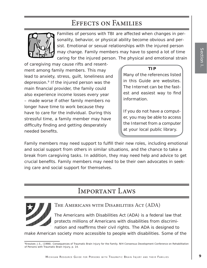### Effects on Families



Families of persons with TBI are affected when changes in personality, behavior, or physical ability become obvious and persist. Emotional or sexual relationships with the injured person may change. Family members may have to spend a lot of time caring for the injured person. The physical and emotional strain

*MICHIGAN RESOURT CONSIDER FRAM RESOURT CONSIDER AN ENGINEER (ADA)*<br> *MAIN CONSIDER CHIGAN SECTION AND CONSIDER THE PROPORTION CONSIDERATION CONSIDER THE FOR PERSONS AND ATTENT TO THE CONSIDER THE FAMILIES CONSIDER THE FAM* of caregiving may cause rifts and resentment among family members. This may lead to anxiety, stress, guilt, loneliness and depression.9 If the injured person was the main financial provider, the family could also experience income losses *every year* – made worse if other family members no longer have time to work because they have to care for the individual. During this stressful time, a family member may have difficulty finding and getting desperately needed benefits.

#### **TIP**

Many of the references listed in this *Guide* are websites. The Internet can be the fastest and easiest way to find information.

If you do not have a computer, you may be able to access the Internet from a computer at your local public library.

Family members may need support to fulfill their new roles, including emotional and social support from others in similar situations, and the chance to take a break from caregiving tasks. In addition, they may need help and advice to get crucial benefits. Family members may need to be their own advocates in seeking care and social support for themselves.

### Important Laws



The Americans with Disabilities Act (ADA)

The Americans with Disabilities Act (ADA) is a federal law that protects millions of Americans with disabilities from discrimination and reaffirms their civil rights. The ADA is designed to

make American society more accessible to people with disabilities. Some of the

<sup>9</sup>Kreutzer, J.S., (1998). Consequences of Traumatic Brain Injury for the Family. NIH Consensus Development Conference on Rehabilitation of Persons with Traumatic Brain Injury, p. 14.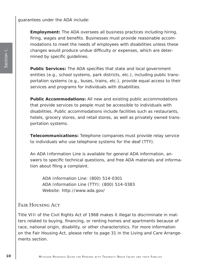guarantees under the ADA include:

**Employment:** The ADA oversees all business practices including hiring, firing, wages and benefits. Businesses must provide reasonable accommodations to meet the needs of employees with disabilities unless these changes would produce undue difficulty or expenses, which are determined by specific guidelines.

**Public Services:** The ADA specifies that state and local government entities (e.g., school systems, park districts, etc.), including public transportation systems (e.g., buses, trains, etc.), provide equal access to their services and programs for individuals with disabilities.

**Public Accommodations:** All new and existing public accommodations that provide services to people must be accessible to individuals with disabilities. Public accommodations include facilities such as restaurants, hotels, grocery stores, and retail stores, as well as privately owned transportation systems.

**Telecommunications:** Telephone companies must provide relay service to individuals who use telephone systems for the deaf (TTY).

An ADA Information Line is available for general ADA information, answers to specific technical questions, and free ADA materials and information about filing a complaint.

*ADA Information Line:* (800) 514-0301 *ADA Information Line (TTY):* (800) 514-0383 *Website:* http://www.ada.gov/

### Fair Housing Act

**10 10 Examples 10 CONDUP CONSTRANT RESONS CONSTRANT RESONS CONSTRANT RESONS AND A proper entities (e.g., strolol systems, park districts, etc.), including pub portation systems (e.g., buses, trains, etc.), provide e** Title VIII of the Civil Rights Act of 1968 makes it illegal to discriminate in matters related to buying, financing, or renting homes and apartments because of race, national origin, disability, or other characteristics. For more information on the Fair Housing Act, please refer to page 31 in the Living and Care Arrangements section.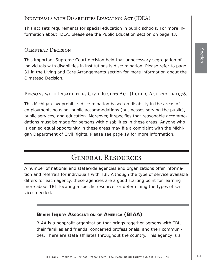### Individuals with Disabilities Education Act (IDEA)

This act sets requirements for special education in public schools. For more information about IDEA, please see the Public Education section on page 43.

### Olmstead Decision

This important Supreme Court decision held that unnecessary segregation of individuals with disabilities in institutions is discrimination. Please refer to page 31 in the Living and Care Arrangements section for more information about the Olmstead Decision.

### PERSONS WITH DISABILITIES CIVIL RIGHTS ACT (PUBLIC ACT 220 OF 1976)

This Michigan law prohibits discrimination based on disability in the areas of employment, housing, public accommodations (businesses serving the public), public services, and education. Moreover, it specifies that reasonable accommodations must be made for persons with disabilities in these areas. Anyone who is denied equal opportunity in these areas may file a complaint with the Michigan Department of Civil Rights. Please see page 19 for more information.

### General Resources

A number of national and statewide agencies and organizations offer information and referrals for individuals with TBI. Although the type of service available differs for each agency, these agencies are a good starting point for learning more about TBI, locating a specific resource, or determining the types of services needed.

### **BRAIN INJURY ASSOCIATION OF AMERICA (BIAA)**

BIAA is a nonprofit organization that brings together persons with TBI, their families and friends, concerned professionals, and their communities. There are state affiliates throughout the country. This agency is a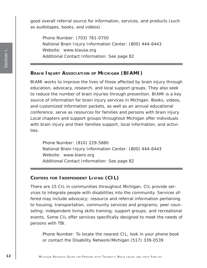good overall referral source for information, services, and products (such as audiotapes, books, and videos).

*Phone Number:* (703) 761-0750 National Brain Injury Information Center: (800) 444-6443 *Website*: www.biausa.org *Additional Contact Information:* See page 82

#### **BRAIN INJURY ASSOCIATION OF MICHIGAN (BIAMI)**

**12 12** *MULTRAN RESOURCE WWW.BUBBG CONTROLL CONTROLL CONTROLL CONTROLL CONTROLL CONTROLL CONTROLL CONTROLL CONTROLL CONTROLL CONTROLL CONTROLL CONTROLL CONTROLL CONTROLL CONTROLL CONTROLL CONTROLL CONTROLL CONTROLL CON* BIAMI works to improve the lives of those affected by brain injury through education, advocacy, research, and local support groups. They also seek to reduce the number of brain injuries through prevention. BIAMI is a key source of information for brain injury services in Michigan. Books, videos, and customized information packets, as well as an annual educational conference, serve as resources for families and persons with brain injury. Local chapters and support groups throughout Michigan offer individuals with brain injury and their families support, local information, and activities.

*Phone Number:* (810) 229-5880 National Brain Injury Information Center: (800) 444-6443 *Website*: www.biami.org *Additional Contact Information:* See page 82

#### **CENTERS FOR INDEPENDENT LIVING (CIL)**

There are 15 CIL in communities throughout Michigan. CIL provide services to integrate people with disabilities into the community. Services offered may include advocacy; resource and referral information pertaining to housing, transportation, community services and programs; peer counseling; independent living skills training; support groups; and recreational events. Some CIL offer services specifically designed to meet the needs of persons with TBI.

*Phone Number:* To locate the nearest CIL, look in your phone book or contact the Disability Network/Michigan (517) 339-0539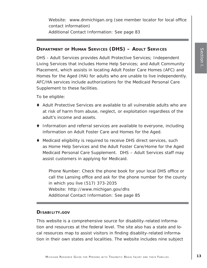*Website*: www.dnmichigan.org (see member locator for local office contact information)

*Additional Contact Information:* See page 83

### **DEPARTMENT OF HUMAN SERVICES (DHS) – ADULT SERVICES**

*MICHIGAN RENOTES (UPIS) - ADULT SERVICES*<br> *AMILI Sevices provides Adult Potective Services; and Adult Community<br>
<i>AMILI Sevices that includes Home Help Services; and Adult Community<br>
ares to the Aged (HA) for adults who* DHS - Adult Services provides Adult Protective Services; Independent Living Services that includes Home Help Services; and Adult Community Placement, which assists in locating Adult Foster Care Homes (AFC) and Homes for the Aged (HA) for adults who are unable to live independently. AFC/HA services include authorizations for the Medicaid Personal Care Supplement to these facilities.

*To be eligible*:

- Adult Protective Services are available to all vulnerable adults who are at risk of harm from abuse, neglect, or exploitation regardless of the adult's income and assets.
- Information and referral services are available to everyone, including information on Adult Foster Care and Homes for the Aged.
- Medicaid eligibility is required to receive DHS direct services, such as Home Help Services and the Adult Foster Care/Home for the Aged Medicaid Personal Care Supplement. DHS – Adult Services staff may assist customers in applying for Medicaid.

*Phone Number*: Check the phone book for your local DHS office or call the Lansing office and ask for the phone number for the county in which you live (517) 373-2035 *Website*: http://www.michigan.gov/dhs *Additional Contact Information:* See page 85

#### **DISABILITY.GOV**

This website is a comprehensive source for disability-related information and resources at the federal level. The site also has a state and local resources map to assist visitors in finding disablity-related information in their own states and localities. The website includes nine subject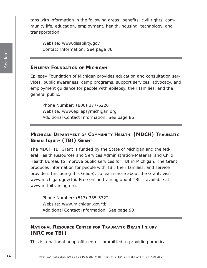tabs with information in the following areas: benefits, civil rights, community life, education, employment, health, housing, technology, and transportation.

*Website:* www.disability.gov *Contact Information:* See page 86

#### **EPILEPSY FOUNDATION OF MICHIGAN**

Epilepsy Foundation of Michigan provides education and consultation services, public awareness, camp programs, support services, advocacy, and employment guidance for people with epilepsy, their families, and the general public.

*Phone Number:* (800) 377-6226 *Website:* www.epilepsymichigan.org  *Additional Contact Information:* See page 86

### **MICHIGAN DEPARTMENT OF COMMUNITY HEALTH (MDCH) TRAUMATIC BRAIN INJURY (TBI) GRANT**

**14 14 EPILEPSY FOUNDATION OF MICHIGAN**<br> **EPILEPSY FOUNDATION OF MICHIGAN**<br> **14 EDIEPSY FOUNDATION OF MICHIGAN**<br> **14 CONDECTAINT CUIDE** *PHONE CUIDE CONTRALS CUIDE CONSIDERATIONS (PORTER PERSONS)**WERE TRAUMATI* The MDCH TBI Grant is funded by the State of Michigan and the federal Health Resources and Services Administration-Maternal and Child Health Bureau to improve public services for TBI in Michigan. The Grant produces information for people with TBI, their families, and service providers (including this *Guide*). To learn more about the Grant, visit www.michigan.gov/tbi. Free online training about TBI is available at www.mitbitraining.org.

 *Phone Number:* (517) 335-5322 *Website:* www.michigan.gov/tbi  *Additional Contact Information:* See page 90

### **NATIONAL RESOURCE CENTER FOR TRAUMATIC BRAIN INJURY (NRC FOR TBI)**

This is a national nonprofit center committed to providing practical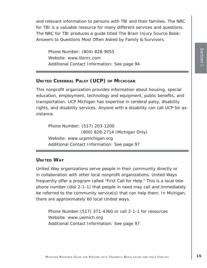and relevant information to persons with TBI and their families. The NRC for TBI is a valuable resource for many different services and questions. The NRC for TBI produces a guide titled *The Brain Injury Source Book: Answers to Questions Most Often Asked by Family & Survivors*.

*Phone Number:* (804) 828-9055 *Website:* www.tbinrc.com *Additional Contact Information:* See page 94

### **UNITED CEREBRAL PALSY (UCP) OF MICHIGAN**

This nonprofit organization provides information about housing, special education, employment, technology and equipment, public benefits, and transportation. UCP Michigan has expertise in cerebral palsy, disability rights, and disability services. Anyone with a disability can call UCP for assistance.

*Phone Number:* (517) 203-1200 (800) 828-2714 (Michigan Only)  *Website:* www.ucpmichigan.org  *Additional Contact Information:* See page 97

#### **UNITED WAY**

*MICHIGAN RESOURT CONSIDER AND ANOTHER AND CONSIDERATION CONSIDERATION CONSIDER AND ADDITIONAL CONSIDERATION CONSIDER AND CONSIDER AND CONSIDER AND CONSIDER AND consider the considered and all the consistent and all the co* United Way organizations serve people in their community directly or in collaboration with other local nonprofit organizations. United Ways frequently offer a program called "First Call for Help." This is a local telephone number (dial 2-1-1) that people in need may call and immediately be referred to the community service(s) that can help them. In Michigan, there are approximately 60 local United ways.

*Phone Number*:(517) 371-4360 or call 2-1-1 for resources *Website:* www.uwmich.org *Additional Contact Information:* See page 97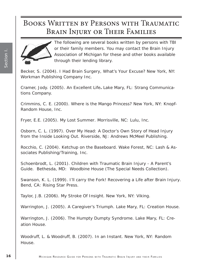### Books Written by Persons with Traumatic Brain Injury or Their Families



The following are several books written by persons with TBI or their family members. You may contact the Brain Injury Association of Michigan for these and other books available through their lending library.

Becker, S. (2004). *I Had Brain Surgery, What's Your Excuse?* New York, NY: Workman Publishing Company Inc.

Cramer, Jody. (2005). *An Excellent Life.* Lake Mary, FL: Strang Communications Company.

Crimmins, C. E. (2000). *Where is the Mango Princess?* New York, NY: Knopf-Random House, Inc.

Fryer, E.E. (2005). *My Lost Summer*. Morrisville, NC: Lulu, Inc.

Osborn, C. L. (1997). *Over My Head: A Doctor's Own Story of Head Injury from the Inside Looking Out.* Riverside, NJ: Andrews McMeel Publishing.

Rocchio, C. (2004). *Ketchup on the Baseboard.* Wake Forest, NC: Lash & Associates Publishing/Training, Inc.

Schoenbrodt, L. (2001). *Children with Traumatic Brain Injury - A Parent's Guide*. Bethesda, MD: Woodbine House (The Special Needs Collection).

Swanson, K. L. (1999). *I'll carry the Fork! Recovering a Life after Brain Injury.* Bend, CA: Rising Star Press.

Taylor, J.B. (2006). *My Stroke Of Insight.* New York, NY: Viking.

Warrington, J. (2005). *A Caregiver's Triumph*. Lake Mary, FL: Creation House.

**16 16 A A A A A** *MICHIGAN RESOLUTE AND <i>MICHIGAN RESOLUTE: MICHIGAN RESOLUTE: MICHIGAN Surgery, What's Your Excuse?* **New You Workman Publishing Company Inc.**<br> **Carnet, Jody**, (2005). *An Excellent* Warrington, J. (2006). *The Humpty Dumpty Syndrome.* Lake Mary, FL: Creation House.

Woodruff, L. & Woodruff, B. (2007). *In an Instant*. New York, NY: Random House.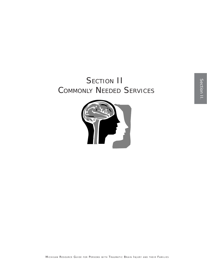### **SECTION II** COMMONLY NEEDED SERVICES



Section IISection II.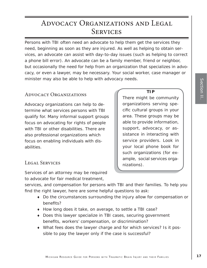### Advocacy Organizations and Legal **SERVICES**

Persons with TBI often need an advocate to help them get the services they need, beginning as soon as they are injured. As well as helping to obtain services, an advocate can assist with day-to-day issues (such as helping to correct a phone bill error). An advocate can be a family member, friend or neighbor, but occasionally the need for help from an organization that specializes in advocacy, or even a lawyer, may be necessary. Your social worker, case manager or minister may also be able to help with advocacy needs.

### Advocacy Organizations

Advocacy organizations can help to determine what services persons with TBI qualify for. Many informal support groups focus on advocating for rights of people with TBI or other disabilities. There are also professional organizations which focus on enabling individuals with disabilities.

#### **TIP**

*MICHIGAN RESOURCE STRAUMATIONS*<br> *Mary* informal support groups<br> **EXECUTE CONSECUTE CONSECUTE CONSECUTE CONSECUTE CONSECUTE DEVICE AND interviews are externed in the property and the property and the property and the prop** There might be community organizations serving specific cultural groups in your area. These groups may be able to provide information, support, advocacy, or assistance in interacting with service providers. Look in your local phone book for such organizations (for example, social services organizations).

### Legal Services

Services of an attorney may be required to advocate for fair medical treatment,

services, and compensation for persons with TBI and their families. To help you find the right lawyer, here are some helpful questions to ask:

- Do the circumstances surrounding the injury allow for compensation or benefits?
- ◆ How long does it take, on average, to settle a TBI case?
- Does this lawyer specialize in TBI cases, securing government benefits, workers' compensation, or discrimination?
- What fees does the lawyer charge and for which services? Is it possible to pay the lawyer only if the case is successful?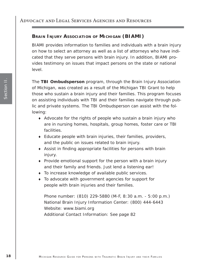### **BRAIN INJURY ASSOCIATION OF MICHIGAN (BIAMI)**

BIAMI provides information to families and individuals with a brain injury on how to select an attorney as well as a list of attorneys who have indicated that they serve persons with brain injury. In addition, BIAMI provides testimony on issues that impact persons on the state or national level.

The **TBI Ombudsperson** program, through the Brain Injury As<br>
of Michigan, was created as a result of the Michigan TBI Grant<br>
those who sustain a brain injury and their families navigate thre<br>
lie and private systems. The T The **TBI Ombudsperson** program, through the Brain Injury Association of Michigan, was created as a result of the Michigan TBI Grant to help those who sustain a brain injury and their families. This program focuses on assisting individuals with TBI and their families navigate through public and private systems. The TBI Ombudsperson can assist with the following:

- Advocate for the rights of people who sustain a brain injury who are in nursing homes, hospitals, group homes, foster care or TBI facilities.
- Educate people with brain injuries, their families, providers, and the public on issues related to brain injury.
- $\triangle$  Assist in finding appropriate facilities for persons with brain injury.
- Provide emotional support for the person with a brain injury and their family and friends. Just lend a listening ear!
- To increase knowledge of available public services.
- To advocate with government agencies for support for people with brain injuries and their families.

 *Phone number:* (810) 229-5880 (M-F, 8:30 a.m. - 5:00 p.m.) *National Brain Injury Information Center:* (800) 444-6443 *Website:* www.biami.org *Additional Contact Information:* See page 82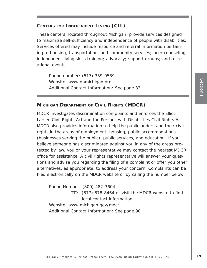## **CENTERS FOR INDEPENDENT LIVING (CIL)**

These centers, located throughout Michigan, provide services designed to maximize self-sufficiency and independence of people with disabilities. Services offered may include resource and referral information pertaining to housing, transportation, and community services; peer counseling; independent living skills training; advocacy; support groups; and recreational events.

*Phone number:* (517) 339-0539 *Website:* www.dnmichigan.org *Additional Contact Information:* See page 83

#### **MICHIGAN DEPARTMENT OF CIVIL RIGHTS (MDCR)**

*Mebsite:* www.dnmichigan.org<br> *Additional Contact Information:* See page 83<br> **HIGAN DEPARTMENT OF CIVIL RIGHTS (MDCR)**<br> **FR** INVESTIGATES discrimination complaints and enforces the Elliot-<br>
FR INVESTIGATES in the creass o MDCR investigates discrimination complaints and enforces the Elliot-Larsen Civil Rights Act and the Persons with Disabilities Civil Rights Act. MDCR also provides information to help the public understand their civil rights in the areas of employment, housing, public accommodations (businesses serving the public), public services, and education. If you believe someone has discriminated against you in any of the areas protected by law, you or your representative may contact the nearest MDCR office for assistance. A civil rights representative will answer your questions and advise you regarding the filing of a complaint or offer you other alternatives, as appropriate, to address your concern. Complaints can be filed electronically on the MDCR website or by calling the number below.

 *Phone Number:* (800) 482-3604 *TTY:* (877) 878-8464 or visit the MDCR website to find local contact information  *Website:* www.michigan.gov/mdcr  *Additional Contact Information:* See page 90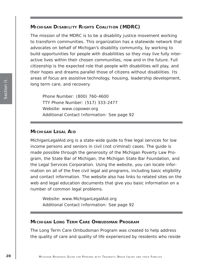#### **MICHIGAN DISABILITY RIGHTS COALITION (MDRC)**

The mission of the MDRC is to be a disability justice movement working to transform communities. This organization has a statewide network that advocates on behalf of Michigan's disability community, by working to build opportunities for people with disablilities so they may live fully interactive lives within their chosen communities, now and in the future. Full citizenship is the expected role that people with disabilities will play, and their hopes and dreams parallel those of citizens without disabilities. Its areas of focus are assistive technology, housing, leadership development, long term care, and recovery.

*Phone Number:* (800) 760-4600 *TTY Phone Number:* (517) 333-2477 *Website:* www.copower.org  *Additional Contact Information:* See page 92

#### **MICHIGAN LEGAL AID**

**20 20** *MICHIGAN LONG TERM CARE OMBUDSMAN PROGRAM*<br> **20** *MICHIGAN LONG TERM CONDUCE GUIDER AND <i>ACCOURCE GUIDER AND MICHIGAN LEGAL AID*<br> **20** *ACCOURCE AIR AID*<br> **20** *ACCOURCE AIR AID*<br> **20** *MICHIGAN LEGAL AID* MichiganLegalAid.org is a state-wide guide to free legal services for low income persons and seniors in civil (not criminal) cases. The guide is made possible through the generosity of the Michigan Poverty Law Program, the State Bar of Michigan, the Michigan State Bar Foundation, and the Legal Services Corporation. Using the website, you can locate information on all of the free civil legal aid programs, including basic eligibility and contact information. The website also has links to related sites on the web and legal education documents that give you basic information on a number of common legal problems.

 *Website*: www.MichiganLegalAid.org  *Additional Contact Information:* See page 92

#### **MICHIGAN LONG TERM CARE OMBUDSMAN PROGRAM**

The Long Term Care Ombudsman Program was created to help address the quality of care and quality of life experienced by residents who reside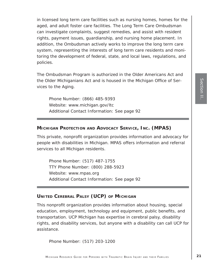in licensed long term care facilities such as nursing homes, homes for the aged, and adult foster care facilities. The Long Term Care Ombudsman can investigate complaints, suggest remedies, and assist with resident rights, payment issues, guardianship, and nursing home placement. In addition, the Ombudsman actively works to improve the long term care system, representing the interests of long term care residents and monitoring the development of federal, state, and local laws, regulations, and policies.

The Ombudsman Program is authorized in the Older Americans Act and the Older Michiganians Act and is housed in the Michigan Office of Services to the Aging.

*Phone Number:* (866) 485-9393 *Website:* www.michigan.gov/ltc *Additional Contact Information:* See page 92

#### **MICHIGAN PROTECTION AND ADVOCACY SERVICE, INC. (MPAS)**

This private, nonprofit organization provides information and advocacy for people with disabilities in Michigan. MPAS offers information and referral services to all Michigan residents.

*Phone Number:* (517) 487-1755 *TTY Phone Number:* (800) 288-5923 *Website:* www.mpas.org *Additional Contact Information:* See page 92

#### **UNITED CEREBRAL PALSY (UCP) OF MICHIGAN**

This nonprofit organization provides information about housing, special education, employment, technology and equipment, public benefits, and transportation. UCP Michigan has expertise in cerebral palsy, disability rights, and disability services, but anyone with a disability can call UCP for assistance.

*Phone Number:* (517) 203-1200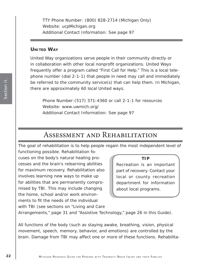*TTY Phone Number:* (800) 828-2714 (Michigan Only) *Website:* ucpMichigan.org *Additional Contact Information:* See page 97

#### **UNITED WAY**

United Way organizations serve people in their community directly or in collaboration with other local nonprofit organizations. United Ways frequently offer a program called "First Call for Help." This is a local telephone number (dial 2-1-1) that people in need may call and immediately be referred to the community service(s) that can help them. In Michigan, there are approximately 60 local United ways.

*Phone Number*:(517) 371-4360 or call 2-1-1 for resources *Website:* www.uwmich.org/ *Additional Contact Information:* See page 97

## Assessment and Rehabilitation

The goal of rehabilitation is to help people regain the most independent level of functioning possible. Rehabilitation fo-

**22** *MICHIGAN RESOURCE FOR PERSONSITY AND REHABILITATION*<br> **22** *Moon Resources words. The meaning Contact Information:* See page 97<br> **22** *MSSESSMENT AND REHABILITATION*<br> **22** *MSSESSMENT AND REHABILITATION*<br> **22** *MSS* cuses on the body's natural healing processes and the brain's relearning abilities for maximum recovery. Rehabilitation also involves learning new ways to make up for abilities that are permanently compromised by TBI. This may include changing the home, school and/or work environments to fit the needs of the individual with TBI (see sections on "Living and Care

#### **TIP**

Recreation is an important part of recovery. Contact your local or county recreation department for information about local programs.

Arrangements," page 31 and "Assistive Technology," page 26 in this *Guide*).

All functions of the body (such as staying awake, breathing, vision, physical movement, speech, memory, behavior, and emotions) are controlled by the brain. Damage from TBI may affect one or more of these functions. Rehabilita-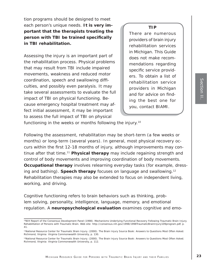tion programs should be designed to meet each person's unique needs. **It is very important that the therapists treating the person with TBI be trained specifically in TBI rehabilitation.**

Assessing the injury is an important part of the rehabilitation process. Physical problems that may result from TBI include impaired movements, weakness and reduced motor coordination, speech and swallowing difficulties, and possibly even paralysis. It may take several assessments to evaluate the full impact of TBI on physical functioning. Because emergency hospital treatment may affect initial assessment, it may be important to assess the full impact of TBI on physical

#### **TIP**

There are numerous providers of brain injury rehabilitation services in Michigan. This *Guide* does not make recommendations regarding specific service providers. To obtain a list of rehabilitation service providers in Michigan and for advice on finding the best one for you, contact BIAMI.

functioning in the weeks or months following the injury.<sup>10</sup>

*M*, specify and sixture Guide High COD The Bail hight Source Bay Provides in Michigan Anti-<br> **FOR PERSONS AND RESONS Example and for advice on find-**<br> **ERSONS AND RESONS Examinent may afferent and for advice on find-**Following the assessment, rehabilitation may be short-term (a few weeks or months) or long-term (several years). In general, most physical recovery occurs within the first 12-18 months of injury, although improvements may continue after that time.<sup>11</sup> Physical therapy may include regaining strength and control of body movements and improving coordination of body movements. **Occupational therapy** involves relearning everyday tasks (for example, dressing and bathing). **Speech therapy** focuses on language and swallowing.12 Rehabilitation therapies may also be extended to focus on independent living, working, and driving.

Cognitive functioning refers to brain behaviors such as thinking, problem solving, personality, intelligence, language, memory, and emotional regulation. A **neuropsychological evaluation** examines cognitive and emo-

<sup>1</sup>ºNIH Report of the Consensus Development Panel (1998). Mechanisms Underlying Functional Recovery Following Traumatic Brain Injury. Rehabilitation of Persons with Traumatic Brain. Web site: http://consensus.nih.gov/1998/1998TraumaticBrainInjury109program.pdf, p. 41.

<sup>11</sup>National Resource Center for Traumatic Brain Injury. (2000). The Brain Injury Source Book: Answers to Questions Most Often Asked. Richmond, Virginia: Virginia Commonwealth University, p. 130.

<sup>12</sup>National Resource Center for Traumatic Brain Injury. (2000). The Brain Injury Source Book: Answers to Questions Most Often Asked. Richmond, Virginia: Virginia Commonwealth University, p. 112.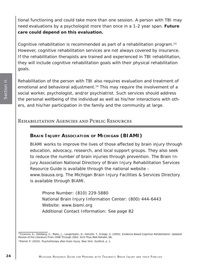tional functioning and could take more than one session. A person with TBI may need evaluations by a psychologist more than once in a 1-2 year span. **Future care could depend on this evaluation.**

Cognitive rehabilitation is recommended as part of a rehabilitation program.13 However, cognitive rehabilitation services are *not* always covered by insurance. If the rehabilitation therapists are trained and experienced in TBI rehabilitation, they will include cognitive rehabilitation goals with their physical rehabilitation goals.

Rehabilitation of the person with TBI also requires evaluation and treatment of emotional and behavioral adjustment.<sup>14</sup> This may require the involvement of a social worker, psychologist, and/or psychiatrist. Such services should address the personal wellbeing of the individual as well as his/her interactions with others, and his/her participation in the family and the community at large.

## Rehabilitation Agencies and Public Resources

## **BRAIN INJURY ASSOCIATION OF MICHIGAN (BIAMI)**

**24 24 Exhabilitation of the person with TBI** also requires evaluation and the animal behavioral adjustment.<sup>14</sup> This may require the involvements as well as this/her interactions the personal wellbeing of the individu BIAMI works to improve the lives of those affected by brain injury through education, advocacy, research, and local support groups. They also seek to reduce the number of brain injuries through prevention. The *Brain Injury Association National Directory of Brain Injury Rehabilitation Services Resource Guide* is available through the national website www.biausa.org. *The Michigan Brain Injury Facilities & Services Directory* is available through BIAMI.

*Phone Number*: (810) 229-5880 *National Brain Injury Information Center:* (800) 444-6443 *Website:* www.biami.org *Additional Contact Information:* See page 82

<sup>13</sup>Cicerone, K., Dahlberg, C., Malec, J., Langenbahn, D., Felicetti, T., Kneipp, S. (2005). Evidence-Based Cognitive Rehabilitation: Updated Review of the Literature From 1998 Through 2002. *Arch Phys Med Rehabil*, 86.

<sup>14</sup>Klonof, P. (2010). Psychotherapy after brain injury. New York: Guilford, p. 1.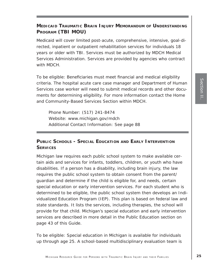## **MEDICAID TRAUMATIC BRAIN INJURY MEMORANDUM OF UNDERSTANDING PROGRAM (TBI MOU)**

Medicaid will cover limited post-acute, comprehensive, intensive, goal-directed, inpatient or outpatient rehabilitation services for individuals 18 years or older with TBI. Services must be authorized by MDCH Medical Services Administration. Services are provided by agencies who contract with MDCH.

*To be eligible*: Beneficiaries must meet financial and medical eligibility criteria. The hospital acute care case manager and Department of Human Services case worker will need to submit medical records and other documents for determining eligibility. For more information contact the Home and Community-Based Services Section within MDCH.

 *Phone Number:* (517) 241-8474  *Website*: www.michigan.gov/mdch  *Additional Contact Information*: See page 88

## **PUBLIC SCHOOLS - SPECIAL EDUCATION AND EARLY INTERVENTION SERVICES**

**The hospital acute care case manager and Department of Human<br>** *MICHIGAN RESOURE WITH THE MICHIGAN RECONSITION CONTICERTIES TO THE COMPUTER COMPUTER COMPUTER COMPUTER COMPUTER COMPUTER COMPUTER COMPUTER COMPUTER CONTINUITY* Michigan law requires each public school system to make available certain aids and services for infants, toddlers, children, or youth who have disabilities. If a person has a disability, including brain injury, the law requires the public school system to obtain consent from the parent/ guardian and determine if the child is eligible for, and needs, certain special education or early intervention services. For each student who is determined to be eligible, the public school system then develops an Individualized Education Program (IEP). This plan is based on federal law and state standards. It lists the services, including therapies, the school will provide for that child. Michigan's special education and early intervention services are described in more detail in the Public Education section on page 43 of this *Guide*.

*To be eligible*: Special education in Michigan is available for individuals up through age 25. A school-based multidisciplinary evaluation team is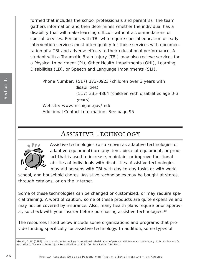formed that includes the school professionals and parent(s). The team gathers information and then determines whether the individual has a disability that will make learning difficult without accommodations or special services. Persons with TBI who require special education or early intervention services most often qualify for those services with documentation of a TBI and adverse effects to their educational performance. A student with a Traumatic Brain Injury (TBI) may also recieve services for a Physical Impairment (PI), Other Health Impairments (OHI), Learning Disabilities (LD), or Speech and Language Impairments (SLI).

**26 26** *MICHIGAN RESOURCE FOR PERSONS CHILD FOR PERSONSISTIVE TECHNOLOGY***<br>
<b>26** *Additional Contact Information:* **See page 95<br>
<b>26** *Additional Contact Information:* **See page 95<br>
<b>26 ASSISTIVE TECHNOLOGY**<br> **26 AS** *Phone Number*: (517) 373-0923 (children over 3 years with disabilities) (517) 335-4864 (children with disabilities age 0-3 years) *Website:* www.michigan.gov/mde *Additional Contact Information:* See page 95

# Assistive Technology



Assistive technologies (also known as adaptive technologies or adaptive equipment) are any item, piece of equipment, or product that is used to increase, maintain, or improve functional abilities of individuals with disabilities. Assistive technologies may aid persons with TBI with day-to-day tasks or with work,

school, and household chores. Assistive technologies may be bought at stores, through catalogs, or on the Internet.

Some of these technologies can be changed or customized, or may require special training. A word of caution; some of these products are quite expensive and may not be covered by insurance. Also, many health plans require prior approval, so check with your insurer before purchasing assistive technologies.15

The resources listed below include some organizations and programs that provide funding specifically for assistive technology. In addition, some types of

<sup>15</sup>Gerald, C. W. (1995). *Use of assistive technology in vocational rehabilitation of persons with traumatic brain injury*. In M. Ashley and D. Krych (Eds.), Traumatic Brain Injury Rehabilitation, p. 129-160. Boca Raton: CRC Press.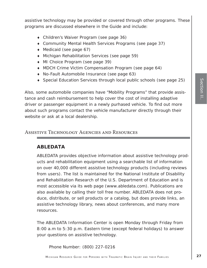assistive technology may be provided or covered through other programs. These programs are discussed elsewhere in the *Guide* and include:

- Children's Waiver Program (see page 36)
- Community Mental Health Services Programs (see page 37)
- Medicaid (see page 67)
- Michigan Rehabilitation Services (see page 59)
- MI Choice Program (see page 39)
- MDCH Crime Victim Compensation Program (see page 64)
- No-Fault Automobile Insurance (see page 63)
- Special Education Services through local public schools (see page 25)

Also, some automobile companies have "Mobility Programs" that provide assistance and cash reimbursement to help cover the cost of installing adaptive driver or passenger equipment in a newly purhased vehicle. To find out more about such programs contact the vehicle manufacturer directly through their website or ask at a local dealership.

## Assistive Technology Agencies and Resources

## **ABLEDATA**

**EXECT THEIGAN RESOURCE THEIGAN RESOURCE THEIGAN RESOLUTE THEIGHT COMPRESSONS CALCLE CONTINUS PROGREM COMPRESSONS**<br> **MICHIGAN PERSONS CONTINUES AND RESOURCES**<br> **EDGATA PERSONS AGENCIES** AND RESOURCES<br> **EDGATA**<br> **EXECTI** ABLEDATA provides objective information about assistive technology products and rehabilitation equipment using a searchable list of information on over 40,000 different assistive technology products (including reviews from users). The list is maintained for the National Institute of Disability and Rehabilitation Research of the U.S. Department of Education and is most accessible via its web page (www.abledata.com). Publications are also available by calling their toll free number. ABLEDATA does not produce, distribute, or sell products or a catalog, but does provide links, an assistive technology library, news about conferences, and many more resources.

The ABLEDATA Information Center is open Monday through Friday from 8:00 a.m to 5:30 p.m. Eastern time (except federal holidays) to answer your questions on assistive technology.

 *Phone Number:* (800) 227-0216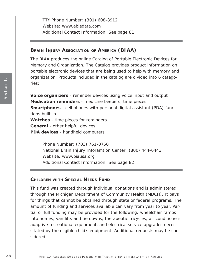*TTY Phone Number:* (301) 608-8912  *Website:* www.abledata.com  *Additional Contact Information:* See page 81

#### **BRAIN INJURY ASSOCIATION OF AMERICA (BIAA)**

The BIAA produces the online *Catalog of Portable Electronic Devices for Memory and Organization*. The *Catalog* provides product information on portable electronic devices that are being used to help with memory and organization. Products included in the catalog are divided into 6 categories:

**Voice organizers** - reminder devices using voice input and output **Medication reminders** - medicine beepers, time pieces **Smartphones** - cell phones with personal digital assistant (PDA) functions built-in **Watches** - time pieces for reminders **General** - other helpful devices **PDA devices** - handheld computers

 *Phone Number:* (703) 761-0750 National Brain Injury Inforamtion Center: (800) 444-6443  *Website:* www.biausa.org  *Additional Contact Information:* See page 82

#### **CHILDREN WITH SPECIAL NEEDS FUND**

**28**<br> **28 28** *Motication reminders* - reminder devices using voice input and out<br> **Medication reminders** - cell phones with personal digital assistant (PDA<br>
tions built-in<br> **Watches** - time pieces for reminders<br> **CHIC** This fund was created through individual donations and is administered through the Michigan Department of Community Health (MDCH). It pays for things that cannot be obtained through state or federal programs. The amount of funding and services available can vary from year to year. Partial or full funding may be provided for the following: wheelchair ramps into homes, van lifts and tie downs, therapeutic tricycles, air conditioners, adaptive recreational equipment, and electrical service upgrades necessitated by the eligible child's equipment. Additional requests may be considered.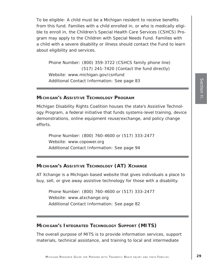*To be eligible:* A child must be a Michigan resident to receive benefits from this fund. Families with a child enrolled in, *or who is medically eligible to enroll in*, the Children's Special Health Care Services (CSHCS) Program may apply to the Children with Special Needs Fund. Families with a child with a severe disability or illness should contact the Fund to learn about eligibility and services.

 *Phone Number:* (800) 359-3722 (CSHCS family phone line) (517) 241-7420 (Contact the fund directly)  *Website:* www.michigan.gov/csnfund  *Additional Contact Information:* See page 83

#### **MICHIGAN'S ASSISTIVE TECHNOLOGY PROGRAM**

*McCHIHOnal Contact Information:* See page 83<br> **HIGAN's ASSISTIVE TECHNOLOGY PROGRAM**<br> **EXERCE TRAUMATIC FOR PERSONS**<br> **Program**, a federal initiative that funds systems-level training, device<br> **Prone Number:** (800) 760-46 Michigan Disability Rights Coalition houses the state's Assistive Technology Program, a federal initiative that funds systems-level training, device demonstrations, online equipment reuse/exchange, and policy change efforts.

 *Phone Number:* (800) 760-4600 or (517) 333-2477  *Website:* www.copower.org  *Additional Contact Information:* See page 94

## **MICHIGAN'S ASSISTIVE TECHNOLOGY (AT) XCHANGE**

AT Xchange is a Michigan-based website that gives individuals a place to buy, sell, or give away assistive technology for those with a disability.

 *Phone Number:* (800) 760-4600 or (517) 333-2477  *Website:* www.atxchange.org  *Additional Contact Information:* See page 82

## **MICHIGAN'S INTEGRATED TECHNOLOGY SUPPORT (MITS)**

The overall purpose of MITS is to provide information services, support materials, technical assistance, and training to local and intermediate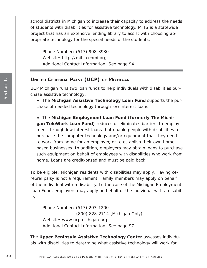school districts in Michigan to increase their capacity to address the needs of students with disabilities for assistive technology. MITS is a statewide project that has an extensive lending library to assist with choosing appropriate technology for the special needs of the students.

 *Phone Number:* (517) 908-3930  *Website:* http://mits.cenmi.org  *Additional Contact Information:* See page 94

### **UNITED CEREBRAL PALSY (UCP) OF MICHIGAN**

UCP Michigan runs two loan funds to help individuals with disabilities purchase assistive technology:

 The **Michigan Assistive Technology Loan Fund** supports the purchase of needed technology through low interest loans.

**30 30 CEREBRAL PALSY (UCP) oF MICHIGAN**<br> **30 CON Michigan runs to to end finds to help individuals with disabi<br>
chase assistive technology:<br>
• The Michigan Assistive Technology Loan Fund support<br>
chase of needed tec**  The **Michigan Employment Loan Fund (formerly The Michigan TeleWork Loan Fund)** reduces or eliminates barriers to employment through low interest loans that enable people with disabilities to purchase the computer technology and/or equipment that they need to work from home for an employer, or to establish their own homebased businesses. In addition, employers may obtain loans to purchase such equipment on behalf of employees with disabilities who work from home. Loans are credit-based and must be paid back.

*To be eligible:* Michigan residents with disabilities may apply. Having cerebral palsy is not a requirement. Family members may apply on behalf of the individual with a disability. In the case of the Michigan Employment Loan Fund, employers may apply on behalf of the individual with a disability.

 *Phone Number:* (517) 203-1200 (800) 828-2714 (Michigan Only)  *Website:* www.ucpmichigan.org  *Additional Contact Information:* See page 97

The **Upper Peninsula Assistive Technology Center** assesses individuals with disabilities to determine what assistive technology will work for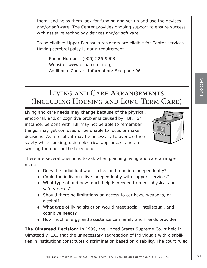them, and helps them look for funding and set-up and use the devices and/or software. The Center provides ongoing support to ensure success with assistive technology devices and/or software.

*To be eligible:* Upper Peninsula residents are eligible for Center services. Having cerebral palsy is not a requirement.

 *Phone Number:* (906) 226-9903  *Website:* www.ucpatcenter.org  *Additional Contact Information:* See page 96

# Living and Care Arrangements (Including Housing and Long Term Care)

Living and care needs may change because of the physical, emotional, and/or cognitive problems caused by TBI. For instance, persons with TBI may not be able to remember things, may get confused or be unable to focus or make decisions. As a result, it may be necessary to oversee their safety while cooking, using electrical appliances, and answering the door or the telephone.



There are several questions to ask when planning living and care arrangements:

- Does the individual want to live and function independently?
- Could the individual live independently with support services?
- What type of and how much help is needed to meet physical and safety needs?
- Should there be limitations on access to car keys, weapons, or alcohol?
- What type of living situation would meet social, intellectual, and cognitive needs?
- How much energy and assistance can family and friends provide?

**The Olmstead Decision:** In 1999, the United States Supreme Court held in Olmstead v. L.C. that the unnecessary segregation of individuals with disabilities in institutions constitutes discrimination based on disability. The court ruled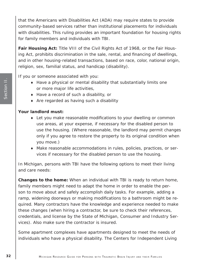that the Americans with Disabilities Act (ADA) may require states to provide community-based services rather than institutional placements for individuals with disabilities. This ruling provides an important foundation for housing rights for family members and individuals with TBI.

**Fair Housing Act:** Title VIII of the Civil Rights Act of 1968, or the Fair Housing Act, prohibits discrimination in the sale, rental, and financing of dwellings, and in other housing-related transactions, based on race, color, national origin, religion, sex, familial status, and handicap (disability).

If you or someone associated with you:

- Have a physical or mental disability that substantially limits one or more major life activities,
- ◆ Have a record of such a disability, or
- Are regarded as having such a disability

### **Your landlord must:**

- Let you make reasonable modifications to your dwelling or common use areas, at your expense, if necessary for the disabled person to use the housing. (Where reasonable, the landlord may permit changes only if you agree to restore the property to its original condition when you move.)
- Make reasonable accommodations in rules, policies, practices, or services if necessary for the disabled person to use the housing.

In Michigan, persons with TBI have the following options to meet their living and care needs:

**32 Example: 4 Example: CONFIGAT RESONS CONSTRANT RESONS CONSTRANT RESONS CONFIGATION AND AND <b>AND AT AND AT AND AT AND AT AND AT AND AT AND AND AND AND AND AND AND AND TRANCHAP TRANT CONFIGATION (Where reasonable Changes to the home:** When an individual with TBI is ready to return home, family members might need to adapt the home in order to enable the person to move about and safely accomplish daily tasks. For example, adding a ramp, widening doorways or making modifications to a bathroom might be required. Many contractors have the knowledge and experience needed to make these changes (when hiring a contractor, be sure to check their references, credentials, and license by the State of Michigan, Consumer and Industry Services). Also make sure the contractor is insured.

Some apartment complexes have apartments designed to meet the needs of individuals who have a physical disability. The Centers for Independent Living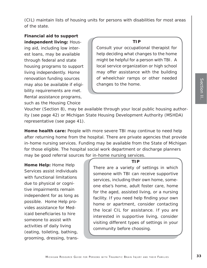(CIL) maintain lists of housing units for persons with disabilities for most areas of the state.

## **Financial aid to support independent living:** Hous-

ing aid, including low interest loans, may be available through federal and state housing programs to support living independently. Home renovation funding sources may also be available if eligibility requirements are met. Rental assistance programs, such as the Housing Choice

#### **TIP**

Consult your occupational therapist for help deciding what changes to the home might be helpful for a person with TBI. A local service organization or high school may offer assistance with the building of wheelchair ramps or other needed changes to the home.

Voucher (Section 8), may be available through your local public housing authority (see page 42) or Michigan State Housing Development Authority (MSHDA) representative (see page 41).

**Home health care:** People with more severe TBI may continue to need help after returning home from the hospital. There are private agencies that provide in-home nursing services. Funding may be available from the State of Michigan for those eligible. The hospital social work department or discharge planners may be good referral sources for in-home nursing services.

**Home Help:** Home Help Services assist individuals with functional limitations due to physical or cognitive impairments remain independent for as long as possible. Home Help provides assistance for Medicaid beneficiaries to hire someone to assist with activities of daily living (eating, toileting, bathing, grooming, dressing, trans-

#### **TIP**

*MICHIGAN RESOURCE CUIDER CUIDER CUIDER CONSISTED (CONSISTED TRANSPARED RESOURCE FOR PERSONS <i>FOR PERSONS MICHIGAT MICHIGAT AND CUIDER SECTION AND INJURY (MSHDA)* **<b>CONSISTED** (142) or Michigan State Housing David There are a variety of settings in which someone with TBI can receive supportive services, including their own home, someone else's home, adult foster care, home for the aged, assisted living, or a nursing facility. If you need help finding your own home or apartment, consider contacting the local CIL for assistance. If you are interested in supportive living, consider visiting different types of settings in your community before choosing.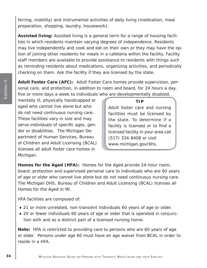ferring, mobility) and instrumental activities of daily living (medication, meal preparation, shopping, laundry, housework).

**Assisted living:** Assisted living is a general term for a range of housing facilities in which residents maintain varying degrees of independence. Residents may live independently and cook and eat on their own or they may have the option of joining other residents for meals in a cafeteria within the facility. Facility staff members are available to provide assistance to residents with things such as reminding residents about medications, organizing activities, and periodically checking on them. Ask the facility if they are licensed by the state.

**Adult Foster Care (AFC):** Adult Foster Care homes provide supervision, personal care, and protection, in addition to room and board, for 24 hours a day, five or more days a week to individuals who are developmentally disabled,

**34 34 34 34 34 34 CALC CALC CALC CALC CALC CALC CALC CALC CALC CALC CALC CALC CALC CALC CALC CALC CALC CALC CALC CALC CALC CALC CALC CALC CALC CALC CALC CA** mentally ill, physically handicapped or aged who cannot live alone but who do not need continuous nursing care.  These facilities vary in size and may serve individuals of specific ages, gender or disabilities. The Michigan Department of Human Services, Bureau of Children and Adult Licensing (BCAL) licenses all adult foster care homes in Michigan.

## **TIP**

Adult foster care and nursing facilities must be licensed by the state. To determine if a facility is licensed or to find a licensed facility in your area call (517) 334-8408 or visit www.michigan.gov/bhs.

**Homes for the Aged (HFA):** Homes for the Aged provide 24-hour room, board, protection and supervised personal care to individuals who are 60 years of age or older who cannot live alone but do not need continuous nursing care. The Michigan DHS, Bureau of Children and Adult Licensing (BCAL) licenses all Homes for the Aged in MI.

HFA facilities are composed of:

- 21 or more unrelated, non-transient individuals 60 years of age or older.
- 20 or fewer individuals 60 years of age or older that is operated in conjunc tion with and as a distinct part of a licensed nursing home.

*Note:* HFA is restricted to providing care to persons who are 60 years of age or older. Persons under age 60 must have an age waiver from BCAL in order to reside in a HFA.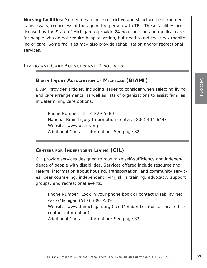**Nursing facilities:** Sometimes a more restrictive and structured environment is necessary, regardless of the age of the person with TBI. These facilities are licensed by the State of Michigan to provide 24-hour nursing and medical care for people who do not require hospitalization, but need round-the-clock monitoring or care. Some facilities may also provide rehabilitation and/or recreational services.

## Living and Care Agencies and Resources

## **BRAIN INJURY ASSOCIATION OF MICHIGAN (BIAMI)**

BIAMI provides articles, including issues to consider when selecting living and care arrangements, as well as lists of organizations to assist families in determining care options.

*Phone Number:* (810) 229-5880 National Brain Injury Information Center: (800) 444-6443 *Website:* www.biami.org  *Additional Contact Information:* See page 82

## **CENTERS FOR INDEPENDENT LIVING (CIL)**

**MICHIGAN RESOCIATION OF MICHIGAN (BIAMI)**<br> *MICHONGS* articles, including issues to consider when selecting living<br>
termining care options.<br> *Phone Number*: (810) 229-5880<br> **National Brain Injury Information Center: (800)** CIL provide services designed to maximize self-sufficiency and independence of people with disabilities. Services offered include resource and referral information about housing, transportation, and community services; peer counseling; independent living skills training; advocacy; support groups; and recreational events.

*Phone Number:* Look in your phone book or contact Disability Net work/Michigan (517) 339-0539 *Website:* www.dnmichigan.org (see Member Locator for local office contact information) *Additional Contact Information:* See page 83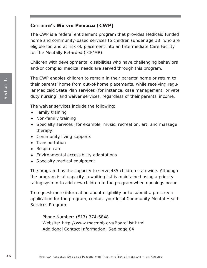## **CHILDREN'S WAIVER PROGRAM (CWP)**

The CWP is a federal entitlement program that provides Medicaid funded home and community-based services to children (under age 18) who are eligible for, and at risk of, placement into an Intermediate Care Facility for the Mentally Retarded (ICF/MR).

Children with developmental disabilities who have challenging behaviors and/or complex medical needs are served through this program.

**36 Internet Scheme Constrained Scheme Scheme Incoments, while receiving that Medicaid State Plan services (for instance, case management duty nursing) and waiver services include the following:<br>
<b>17 For waiver service** The CWP enables children to remain in their parents' home or return to their parents' home from out-of-home placements, while receiving regular Medicaid State Plan services (for instance, case management, private duty nursing) and waiver services, regardless of their parents' income.

The waiver services include the following:

- Family training
- Non-family training
- Specialty services (for example, music, recreation, art, and massage therapy)
- Community living supports
- Transportation
- ◆ Respite care
- Environmental accessibility adaptations
- ◆ Specialty medical equipment

The program has the capacity to serve 435 children statewide. Although the program is at capacity, a waiting list is maintained using a priority rating system to add new children to the program when openings occur.

To request more information about eligibility or to submit a prescreen application for the program, contact your local Community Mental Health Services Program.

*Phone Number:* (517) 374-6848 *Website:* http://www.macmhb.org/BoardList.html *Additional Contact Information:* See page 84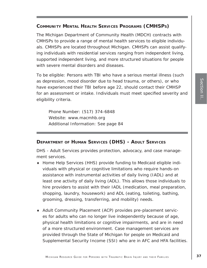## **COMMUNITY MENTAL HEALTH SERVICES PROGRAMS (CMHSPS)**

The Michigan Department of Community Health (MDCH) contracts with CMHSPs to provide a range of mental health services to eligible individuals. CMHSPs are located throughout Michigan. CMHSPs can assist qualifying individuals with residential services ranging from independent living, supported independent living, and more structured situations for people with severe mental disorders and diseases.

*To be eligible*: Persons with TBI who have a serious mental illness (such as depression, mood disorder due to head trauma, or others), or who have experienced their TBI before age 22, should contact their CMHSP for an assessment or intake. Individuals must meet specified severity and eligibility criteria.

*Phone Number:* (517) 374-6848 *Website:* www.macmhb.org *Additional Information:* See page 84

## **DEPARTMENT OF HUMAN SERVICES (DHS) - ADULT SERVICES**

DHS - Adult Services provides protection, advocacy, and case management services.

- **Expression, mood disorder due to head trauma, or others), or who<br>
<b>CAN RESOURCE ANTIFICATES**<br> **MICHIGAN RESONS TO THE CONSECURE ANTIFICATE CONSECURE AND AND THEIR CONSECURE THEIR** *Phone Number:* **(517) 374-6848<br>** *Website:*  Home Help Services (HHS) provide funding to Medicaid eligible individuals with physical or cognitive limitations who require hands-on assistance with instrumental activities of daily living (IADL) and at least one activity of daily living (ADL). This allows those individuals to hire providers to assist with their IADL (medication, meal preparation, shopping, laundry, housework) and ADL (eating, toileting, bathing, grooming, dressing, transferring, and mobility) needs.
- Adult Community Placement (ACP) provides pre-placement services for adults who can no longer live independently because of age, physical health limitations or cognitive impairments, and are in need of a more structured environment. Case management services are provided through the State of Michigan for people on Medicaid and Supplemental Security Income (SSI) who are in AFC and HFA facilities.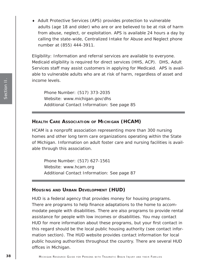Adult Protective Services (APS) provides protection to vulnerable adults (age 18 and older) who are or are believed to be at risk of harm from abuse, neglect, or exploitation. APS is available 24 hours a day by calling the state-wide, Centralized Intake for Abuse and Neglect phone number at (855) 444-3911.

Eligibility: Information and referral services are available to everyone. Medicaid eligibility is required for direct services (HHS, ACP). DHS, Adult Services staff may assist customers in applying for Medicaid. APS is available to vulnerable adults who are at risk of harm, regardless of asset and income levels.

*Phone Number:* (517) 373-2035 *Website:* www.michigan.gov/dhs *Additional Contact Information:* See page 85

#### **HEALTH CARE ASSOCIATION OF MICHIGAN (HCAM)**

HCAM is a nonprofit association representing more than 300 nursing homes and other long term care organizations operating within the State of Michigan. Information on adult foster care and nursing facilities is available through this association.

*Phone Number:* (517) 627-1561 *Website:* www.hcam.org *Additional Contact Information:* See page 87

#### **HOUSING AND URBAN DEVELOPMENT (HUD)**

**38 38** *MICHIGAN RESOURCE FOR PERSONSITY AND ACCELEAT ACTED AND HEALTH CARE ASSOCIATION OF MICHIGAN (HCAM)***<br>
HEALTH CARE ASSOCIATION OF MICHIGAN (HCAM)<br>
HCAM IS a nonprofit association representing more than 300 nu<br>
ho** HUD is a federal agency that provides money for housing programs. There are programs to help finance adaptations to the home to accommodate people with disabilities. There are also programs to provide rental assistance for people with low incomes or disabilities. You may contact HUD for more information about these programs, but your first contact in this regard should be the local public housing authority (see contact information section). The HUD website provides contact information for local public housing authorities throughout the country. There are several HUD offices in Michigan.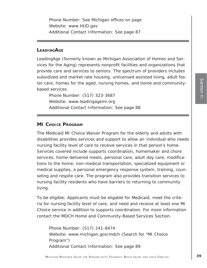#### **LEADINGAGE**

LeadingAge (formerly known as Michigan Association of Homes and Services for the Aging) represents nonprofit facilities and organizations that provide care and services to seniors. The spectrum of providers includes subsidized and market rate housing, unlicensed assisted living, adult foster care, homes for the aged, nursing homes, and home and communitybased services.

*Phone Number:* (517) 323-3687 *Website:* www.leadingagemi.org *Additional Contact Information:* See page 88

#### **MI CHOICE PROGRAM**

*MICHIGAN RESOURRET CONDUPTER CONDUPTER CONDUPTER CUIDE ACCESSARY*<br> *MICHIGAN RESOURT FOROFANN*<br> *Medicinal Contact Information:* See page 88<br> **CHOICE PROGRAM**<br> *Medicial MI Choice Waiver Program for the elderly and adults* The Medicaid MI Choice Waiver Program for the elderly and adults with disabilities provides services and support to allow an individual who needs nursing facility level of care to receive services in that person's home. Services covered include supports coordination, homemaker and chore services, home-delivered meals, personal care, adult day care, modifications to the home, non-medical transportation, specialized equipment or medical supplies, a personal emergency response system, training, counseling and respite care. The program also provides transition services to nursing facility residents who have barriers to returning to community living.

*To be eligible*: Applicants must be eligable for Medicaid, meet the criteria for nursing facility level of care, and need and receive at least one MI Choice service in addition to supports coordination. For more information contact the MDCH Home and Community-Based Services Section.

*Phone Number:* (517) 241-8474 *Website:* www.michigan.gov/mdch (Search for "MI Choice Program") *Additional Contact Information:* See page 89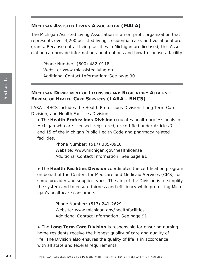#### **MICHIGAN ASSISTED LIVING ASSOCIATION (MALA)**

The Michigan Assisted Living Association is a non-profit organization that represents over 4,200 assisted living, residential care, and vocational programs. Because not all living facilities in Michigan are licensed, this Association can provide information about options and how to choose a facility.

*Phone Number:* (800) 482-0118 *Website:* www.miassistedliving.org *Additional Contact Information:* See page 90

## **MICHIGAN DEPARTMENT OF LICENSING AND REGULATORY AFFAIRS - BUREAU OF HEALTH CARE SERVICES (LARA - BHCS)**

LARA - BHCS includes the Health Professions Division, Long Term Care Division, and Health Facilities Division.

 The **Health Professions Division** regulates health professionals in Michigan who are licensed, registered, or certified under Articles 7 and 15 of the Michigan Public Health Code and pharmacy related facilities.

> *Phone Number:* (517) 335-0918 *Website:* www.michigan.gov/healthlicense *Additional Contact Information:* See page 91

**40 Alternation 40 CHERNER CONSTRANT CONSTRANT CONSTRANT ACTOMBT CONSTRANT A BHCC SINCT DURISH CONSTRANT AND THE PUNISHON <b>4 FOR PERSONS AND FOR PERSONS MICHIGAN FAMILIES** DURISHON **4 FOR PERSONS MICHIGAN**  $\bullet$  The Health Facilities Division coordinates the certification program on behalf of the Centers for Medicare and Medicaid Services (CMS) for some provider and supplier types. The aim of the Division is to simplify the system and to ensure fairness and efficiency while protecting Michigan's healthcare consumers.

 *Phone Number:* (517) 241-2629 *Website:* www.michigan.gov/healthfacilities *Additional Contact Information:* See page 91

 The **Long Term Care Division** is responsible for ensuring nursing home residents receive the highest quality of care and quality of life. The Division also ensures the quality of life is in accordance with all state and federal requirements.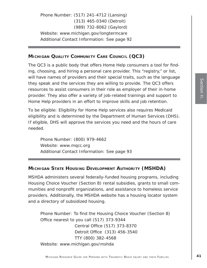*Phone Number:* (517) 241-4712 (Lansing) (313) 465-0340 (Detroit) (989) 732-8062 (Gaylord) *Website:* www.michigan.gov/longtermcare *Additional Contact Information:* See page 92

## **MICHIGAN QUALITY COMMUNITY CARE COUNCIL (QC3)**

The QC3 is a public body that offers Home Help consumers a tool for finding, choosing, and hiring a personal care provider. This "registry," or list, will have names of providers and their special traits, such as the language they speak and the services they are willing to provide. The QC3 offers resources to assist consumers in their role as employer of their in-home provider. They also offer a variety of job-related trainings and support to Home Help providers in an effort to improve skills and job retention.

*To be eligible:* Eligibility for Home Help services also requires Medicaid eligibility and is determined by the Department of Human Services (DHS). If eligible, DHS will approve the services you need and the hours of care needed.

*Phone Number:* (800) 979-4662 *Website:* www.mqcc.org *Additional Contact Information:* See page 93

## **MICHIGAN STATE HOUSING DEVELOPMENT AUTHORITY (MSHDA)**

MSHDA administers several federally-funded housing programs, including Housing Choice Voucher (Section 8) rental subsidies, grants to small communities and nonprofit organizations, and assistance to homeless service providers. Additionally, the MSHDA website has a housing locator system and a directory of subsidized housing.

*Phone Number:* To find the Housing Choice Voucher (Section 8) Office nearest to you call (517) 373-9344 Central Office (517) 373-8370 Detroit Office (313) 456-3540 TTY (800) 382-4568 *Website:* www.michigan.gov/mshda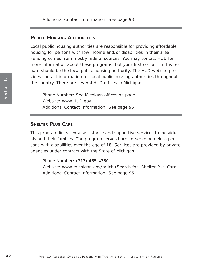#### **PUBLIC HOUSING AUTHORITIES**

Local public housing authorities are responsible for providing affordable housing for persons with low income and/or disabilities in their area. Funding comes from mostly federal sources. You may contact HUD for more information about these programs, but your first contact in this regard should be the local public housing authority. The HUD website provides contact information for local public housing authorities throughout the country. There are several HUD offices in Michigan.

*Phone Number:* See Michigan offices on page *Website:* www.HUD.gov *Additional Contact Information:* See page 95

#### **SHELTER PLUS CARE**

**42** *Alterna Resource Court CE CE Michigan* Friest Son page<br> *MICHIGAN RESOURCE CUNNATIC SCE DASCE FOR PERSONSITION Additional Contact Information:* See page 95<br> **SHELTER PLUS CARE**<br> **SHELTER PLUS CARE**<br>
This program link This program links rental assistance and supportive services to individuals and their families. The program serves hard-to-serve homeless persons with disabilities over the age of 18. Services are provided by private agencies under contract with the State of Michigan.

 *Phone Number:* (313) 465-4360 *Website:* www.michigan.gov/mdch (Search for "Shelter Plus Care.") *Additional Contact Information:* See page 96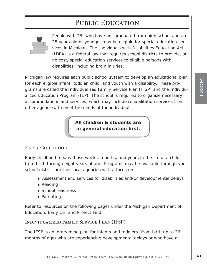# PUBLIC EDUCATION



People with TBI who have not graduated from high school and are 25 years old or younger may be eligible for special education services in Michigan. The Individuals with Disabilities Education Act (IDEA) is a federal law that requires school districts to provide, at no cost, special education services to eligible persons with disabilities, including brain injuries.

*MICHIGAN RESOLURE CONSIDERATION MICHIGAN RESOLURE CONSIDERATION CONSIDERATION SETTING AND SOLURE (FIGP) and the Individual and services, which may include rehabilitation services from an advantation services, which may* Michigan law requires each public school system to develop an educational plan for each eligible infant, toddler, child, and youth with a disability. These programs are called the Individualized Family Service Plan (IFSP) and the Individualized Education Program (IEP). The school is required to organize necessary accommodations and services, which may include rehabilitation services from other agencies, to meet the needs of the individual.

**All children & students are in general education first.** 

## EARLY CHILDHOOD

Early childhood means those weeks, months, and years in the life of a child from birth through eight years of age. Programs may be available through your school district or other local agencies with a focus on:

- Assessment and services for disabilities and/or developmental delays
- $\triangle$  Reading
- ◆ School readiness
- ◆ Parenting

Refer to resources on the following pages under the Michigan Department of Education, Early On, and Project Find.

## Individualized Family Service Plan (IFSP)

The IFSP is an intervening plan for infants and toddlers (from birth up to 36 months of age) who are experiencing developmental delays *or* who have a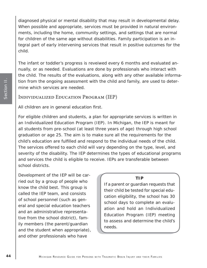diagnosed physical or mental disability that may result in developmental delay. When possible and appropriate, services must be provided in natural environments, including the home, community settings, and settings that are normal for children of the same age without disabilities. Family participation is an integral part of early intervening services that result in positive outcomes for the child.

The infant or toddler's progress is reveiwed every 6 months and evaluated annually, or as needed. Evaluations are done by professionals who interact with the child. The results of the evaluations, along with any other available information from the ongoing assessment with the child and family, are used to determine which services are needed.

## Individualized Education Program (IEP)

All children are in general education first.

**44 Example 12 Example 12 Example 20 Example 20 Example 20 Example 20 Example 20 Example 20 Example 20 Example 20 Example 20 Example 20 Example 20 Example 20 Example 20 Example 20 Example** For eligible children and students, a plan for appropriate services is written in an Individualized Education Program (IEP). In Michigan, the IEP is meant for all students from pre-school (at least three years of age) through high school graduation or age 25. The aim is to make sure all the requirements for the child's education are fulfilled and respond to the individual needs of the child. The services offered to each child will vary depending on the type, level, and severity of the disability. The IEP determines the types of educational programs and services the child is eligible to receive. IEPs *are* transferable between school districts.

Development of the IEP will be carried out by a group of people who know the child best. This group is called the IEP team, and consists of school personnel (such as general and special education teachers and an administrative representative from the school district), family members (the parent/guardian and the student when appropriate), and other professionals who have

## **TIP**

If a parent or guardian requests that their child be tested for special education eligibility, the school has 30 school days to complete an evaluation and hold an Individualized Education Program (IEP) meeting to assess and determine the child's needs.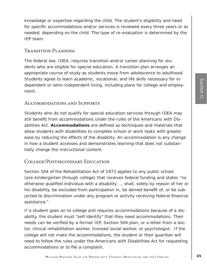knowledge or expertise regarding the child. The student's eligibility and need for specific accommodations and/or services is reviewed every three years or as needed, depending on the child. The type of re-evaluation is determined by the IEP team.

## Transition Planning

The federal law, IDEA, requires transition and/or career planning for students who are eligible for special education. A transition plan arranges an appropriate course of study as students move from adolescence to adulthood. Students agree to learn academic, vocational, and life skills necessary for independent or semi-independent living, including plans for college and employment.

## Accommodations and Supports

Students who do not qualify for special education services through IDEA may still benefit from accommodations under the rules of the Americans with Disabilities Act. **Accommodations** are defined as techniques and materials that allow students with disabilities to complete school or work tasks with greater ease by reducing the effects of the disability. An accommodation is any change in how a student accesses and demonstrates learning that does not substantially change the instructional content.

## College/Postsecondary Education

Section 504 of the Rehabilitation Act of 1973 applies to any public school (pre-kindergarten through college) that receives federal funding and states "no otherwise qualified individual with a disability ... shall, solely by reason of her or his disability, be excluded from participation in, be denied benefit of, or be subjected to discrimination under any program or activity receiving federal financial assistance."

**MICHIGAN RESOURCE THE CONDUCE CONDUCE THE CONDUCE CONDUCE THE COMMATIONS AND SUPPORTS**<br>
And the non-commodations under the rules of the Americans with Dis-<br> **DIATIONS** AND SUPPORTS<br>
And from accommodations under the rules If a student goes on to college and requires accommodations because of a disability, the student must "self-identify" that they need accommodations. Their needs can be verified by a former IEP, Section 504 plan, or a letter from a doctor, clinical rehabilitation worker, licensed social worker, or psychologist. If the college will not make the accommodations, the student or their guardian will need to follow the rules under the Americans with Disabilities Act for requesting accommodations or to file a complaint.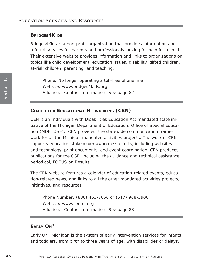#### **BRIDGES4KIDS**

Bridges4Kids is a non-profit organization that provides information and referral services for parents and professionals looking for help for a child. Their extensive website provides information and links to organizations on topics like child development, education issues, disability, gifted children, at-risk children, parenting, and teaching.

*Phone:* No longer operating a toll-free phone line *Website:* www.bridges4kids.org *Additional Contact Information:* See page 82

#### **CENTER FOR EDUCATIONAL NETWORKING (CEN)**

**46** *MICHIGAN RESONSITY CONDUPED TRANSANT Section Act mandated states and <i>Additional Contact Information*: See page 82 **CENTER FOR EDUCATIONAL NETWORKING (CEN)**<br> **CENTER FOR EDUCATIONAL NETWORKING (CEN)**<br>
CENTER FOR EDIC CEN is an Individuals with Disabilities Education Act mandated state initiative of the Michigan Department of Education, Office of Special Education (MDE, OSE). CEN provides the statewide communication framework for all the Michigan mandated activities projects. The work of CEN supports education stakeholder awareness efforts, including websites and technology, print documents, and event coordination. CEN produces publications for the OSE, including the guidance and technical assistance periodical, *FOCUS on Results*.

The CEN website features a calendar of education-related events, education-related news, and links to all the other mandated activities projects, initiatives, and resources.

 *Phone Number:* (888) 463-7656 or (517) 908-3900 *Website*: www.cenmi.org *Additional Contact Information:* See page 83

## **EARLY ON®**

*Early On*® Michigan is the system of early intervention services for infants and toddlers, from birth to three years of age, with disabilities or delays,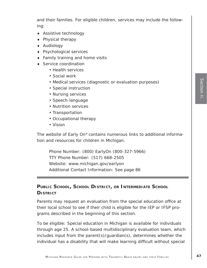and their families. For eligible children, services may include the following:

- Assistive technology
- Physical therapy
- Audiology
- Psychological services
- ◆ Family training and home visits
- ◆ Service coordination
	- Health services
	- Social work
	- Medical services (diagnostic or evaluation purposes)
	- Special instruction
	- Nursing services
	- Speech-language
	- Nutrition services
	- Transportation
	- Occupational therapy
	- Vision

The website of *Early On*® contains numerous links to additional information and resources for children in Michigan.

 *Phone Number:* (800) EarlyOn (800-327-5966) *TTY Phone Number:* (517) 668-2505 *Website*: www.michigan.gov/earlyon *Additional Contact Information:* See page 86

## **PUBLIC SCHOOL, SCHOOL DISTRICT, OR INTERMEDIATE SCHOOL DISTRICT**

Parents may request an evaluation from the special education office at their local school to see if their child is eligible for the IEP or IFSP programs described in the beginning of this section.

*Medical services (diagnostic or evaluation purposes)*<br> **Mursing services**<br> **Mursing services**<br> **Mursing services**<br> **Mursition services**<br> **Mursition and the active particular contains numerous links to additional informa-<br>** *To be eligible*: Special education in Michigan is available for individuals through age 25. A school-based multidisciplinary evaluation team, which includes input from the parent(s)/guardian(s), determines whether the individual has a disability that will make learning difficult without special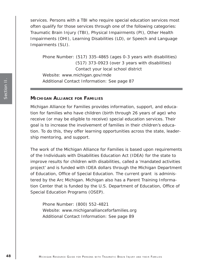services. Persons with a TBI who require special education services most often qualify for those services through one of the following categories: Traumatic Brain Injury (TBI), Physical Impairments (PI), Other Health Impairments (OHI), Learning Disabilities (LD), or Speech and Language Impairments (SLI).

 *Phone Number:* (517) 335-4865 (ages 0-3 years with disabilities) (517) 373-0923 (over 3 years with disabilities) Contact your local school district *Website:* www.michigan.gov/mde *Additional Contact Information:* See page 87

#### **MICHIGAN ALLIANCE FOR FAMILIES**

Michigan Alliance for Families provides information, support, and education for families who have children (birth through 26 years of age) who receive (or may be eligible to receive) special education services. Their goal is to increase the involvement of families in their children's education. To do this, they offer learning opportunities across the state, leadership mentoring, and support.

**Additional Contact Information: See page 87<br>
<b>MICHIGAN ALLIANCE FOR FAMILIES**<br>
MICHIGAN **ALLIANCE FOR FAMILIES**<br>
MICHIGAN **ALLIANCE FOR FAMILIES**<br>
to the formative where children (blrft hrough 26 years of ag<br>
receive (or The work of the Michigan Alliance for Families is based upon requirements of the Individuals with Disabilities Education Act (IDEA) for the state to improve results for children with disabilities, called a 'mandated activities project' and is funded with IDEA dollars through the Michigan Department of Education, Office of Special Education. The current grant is administered by the Arc Michigan. Michigan also has a Parent Training Information Center that is funded by the U.S. Department of Education, Office of Special Education Programs (OSEP).

*Phone Number:* (800) 552-4821 *Website:* www.michiganallianceforfamilies.org  *Additional Contact Information:* See page 89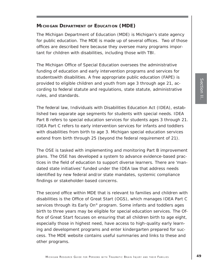## **MICHIGAN DEPARTMENT OF EDUCATION (MDE)**

The Michigan Department of Education (MDE) is Michigan's state agency for public education. The MDE is made up of several offices. Two of those offices are described here because they oversee many programs important for children with disabilities, including those with TBI.

The Michigan Office of Special Education oversees the administrative funding of education and early intervention programs and services for studentswith disabilities. A free appropriate public education (FAPE) is provided to eligible children and youth from age 3 through age 21, according to federal statute and regulations, state statute, administrative rules, and standards.

The federal law, Individuals with Disabilities Education Act (IDEA), established two separate age segments for students with special needs. IDEA Part B refers to special education services for students ages 3 through 21. IDEA Part C refers to early intervention services for infants and toddlers with disabilities from birth to age 3. Michigan special education services extend from birth through 25 (beyond the federal requirement of 21).

The OSE is tasked with implementing and monitoring Part B improvement plans. The OSE has developed a system to advance evidence-based practices in the field of education to support diverse learners. There are 'mandated state initiatives' funded under the IDEA law that address needs identified by new federal and/or state mandates, systemic compliance findings or stakeholder-based concerns.

*MICHIGAN RESONS CONSTANT CONSTANT CONSTANT CONSTANT AND EXECUTIVE ARE SAND ARE SAND ARE SAND AND MANUSION AND MANUSION ACTION AND BANDIDING ARE GUIDE A UNIVERSIDE B DEFINE THEIR ARE STONG B and standards.<br>
FOR PERS TO S* The second office within MDE that is relevant to families and children with disabilities is the Office of Great Start (OGS), which manages IDEA Part C services through its Early On® program. Some infants and toddlers ages birth to three years may be eligible for special education services. The Office of Great Start focuses on ensuring that all children birth to age eight, especially those in highest need, have access to high-quality early learning and development programs and enter kindergarten prepared for success. The MDE website contains useful summaries and links to these and other programs.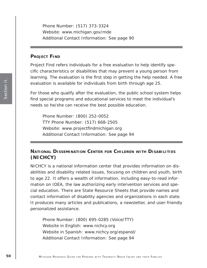*Phone Number:* (517) 373-3324 *Website:* www.michigan.gov/mde  *Additional Contact Information:* See page 90

### **PROJECT FIND**

Project Find refers individuals for a free evaluation to help identify specific characteristics or disabilities that may prevent a young person from learning. The evaluation is the first step in getting the help needed. A free evaluation is available for individuals from birth through age 25.

For those who qualify after the evaluation, the public school system helps find special programs and educational services to meet the individual's needs so he/she can receive the best possible education.

*Phone Number:* (800) 252-0052 *TTY Phone Number:* (517) 668-2505 *Website:* www.projectfindmichigan.org  *Additional Contact Information:* See page 94

## **NATIONAL DISSEMINATION CENTER FOR CHILDREN WITH DISABILITIES (NICHCY)**

**50 Example 10 Example 10 Example 10 Example 10 C MICHIGAN RESONS For those who qualify after the evaluation, the public school syst find special programs and educational services to meet the linkly needs so** NICHCY is a national information center that provides information on disabilities and disability related issues, focusing on children and youth, birth to age 22. It offers a wealth of information, including easy-to-read information on IDEA, the law authorizing early intervention services and special education. There are State Resource Sheets that provide names and contact information of disability agencies and organizations in each state. It produces many articles and publications, a newsletter, and user-friendly personalized assistance.

*Phone Number:* (800) 695-0285 (Voice/TTY) *Website in English:* www.nichcy.org *Website in Spanish:* www.nichcy.org/espanol/ *Additional Contact Information:* See page 94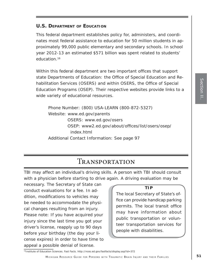## **U.S. DEPARTMENT OF EDUCATION**

This federal department establishes policy for, administers, and coordinates most federal assistance to education for 50 million students in approximately 99,000 public elementary and secondary schools. In school year 2012-13 an estimated \$571 billion was spent related to students' education.16

Within this federal department are two important offices that support state Departments of Education: the Office of Special Education and Rehabilitation Services (OSERS) and within OSERS, the Office of Special Education Programs (OSEP). Their respective websites provide links to a wide variety of educational resources.

*Phone Number:* (800) USA-LEARN (800-872-5327) *Website:* www.ed.gov/parents OSERS: www.ed.gov/osers OSEP: www2.ed.gov/about/offices/list/osers/osep/ index.html *Additional Contact Information:* See page 97

## **TRANSPORTATION**

TBI may affect an individual's driving skills. A person with TBI should consult with a physician before starting to drive again. A driving evaluation may be

necessary. The Secretary of State can conduct evaluations for a fee. In addition, modifications to vehicles may be needed to accommodate the physical changes resulting from an injury. Please note: If you have acquired your injury since the last time you got your driver's license, reapply up to 90 days before your birthday (the day your license expires) in order to have time to appeal a possible denial of license.

#### **TIP**

The local Secretary of State's office can provide handicap parking permits. The local transit office may have information about public transportation or volunteer transportation services for people with disabilities.

16Institute of Education Sciences. Fast Facts. http://nces.ed.gov/fastfacts/display.asp?id=372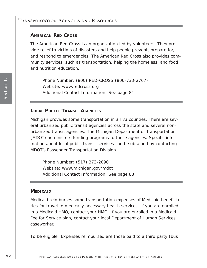#### **AMERICAN RED CROSS**

The American Red Cross is an organization led by volunteers. They provide relief to victims of disasters and help people prevent, prepare for, and respond to emergencies. The American Red Cross also provides community services, such as transportation, helping the homeless, and food and nutrition education.

*Phone Number:* (800) RED-CROSS (800-733-2767) *Website:* www.redcross.org  *Additional Contact Information:* See page 81

#### **LOCAL PUBLIC TRANSIT AGENCIES**

**52** *Phone Number*: (800) RED-CROSS (800-733-2767)<br> *Meditional Contact Information:* See page 81<br> **Local PuBLIc Transit Agencies**<br> **Michigan provides some transportation in all 83 counties.** There<br>
eral urbanized publi Michigan provides some transportation in all 83 counties. There are several urbanized public transit agencies across the state and several nonurbanized transit agencies. The Michigan Department of Transportation (MDOT) administers funding programs to these agencies. Specific information about local public transit services can be obtained by contacting MDOT's Passenger Transportation Division.

*Phone Number:* (517) 373-2090 *Website:* www.michigan.gov/mdot  *Additional Contact Information:* See page 88

#### **MEDICAID**

Medicaid reimburses some transportation expenses of Medicaid beneficiaries for travel to medically necessary health services. If you are enrolled in a Medicaid HMO, contact your HMO. If you are enrolled in a Medicaid Fee for Service plan, contact your local Department of Human Services caseworker.

*To be eligible*: Expenses reimbursed are those paid to a third party (bus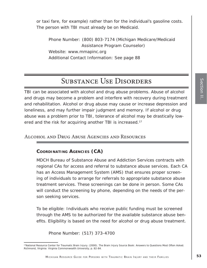or taxi fare, for example) rather than for the individual's gasoline costs. The person with TBI must already be on Medicaid.

*Phone Number:* (800) 803-7174 (Michigan Medicare/Medicaid Assistance Program Counselor) *Website:* www.mmapinc.org  *Additional Contact Information:* See page 88

## Substance Use Disorders

TBI can be associated with alcohol and drug abuse problems. Abuse of alcohol and drugs may become a problem and interfere with recovery during treatment and rehabilitation. Alcohol or drug abuse may cause or increase depression and loneliness, and may further impair judgment and memory. If alcohol or drug abuse was a problem prior to TBI, tolerance of alcohol may be drastically lowered and the risk for acquiring another TBI is increased.<sup>17</sup>

## Alcohol and Drug Abuse Agencies and Resources

## **COORDINATING AGENCIES (CA)**

**MICHIGAN RESOURT ANCE USE DISORDERS**<br> **MICHIGAN RESOURCE AND ANOTE AND ANOTE AND ANOTE AND ANOTE AND ANOTE AND ANOTE AND THE CONSTRAINED THE UNITS (INTERNATION AND THE CONSTRAINED AND ANOTE AND ANOTE AND ANOTE AND ANOTE A** MDCH Bureau of Substance Abuse and Addiction Services contracts with regional CAs for access and referral to substance abuse services. Each CA has an Access Management System (AMS) that ensures proper screening of individuals to arrange for referrals to appropriate substance abuse treatment services. These screenings can be done in person. Some CAs will conduct the screening by phone, depending on the needs of the person seeking services.

To be eligible: Individuals who receive public funding must be screened through the AMS to be authorized for the available substance abuse benefits. Eligibility is based on the need for alcohol or drug abuse treatment.

*Phone Number:* (517) 373-4700

<sup>17</sup>National Resource Center for Traumatic Brain Injury. (2000). The Brain Injury Source Book: Answers to Questions Most Often Asked. Richmond, Virginia: Virginia Commonwealth University, p. 82-84.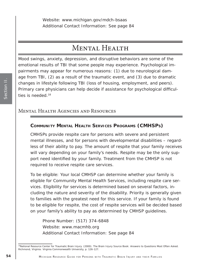# Mental Health

Mood swings, anxiety, depression, and disruptive behaviors are some of the emotional results of TBI that some people may experience. Psychological impairments may appear for numerous reasons: (1) due to neurological damage from TBI, (2) as a result of the traumatic event, and (3) due to dramatic changes in lifestyle following TBI (loss of housing, employment, and peers). Primary care physicians can help decide if assistance for psychological difficulties is needed.<sup>18</sup>

## Mental Health Agencies and Resources

## **COMMUNITY MENTAL HEALTH SERVICES PROGRAMS (CMHSPS)**

CMHSPs provide respite care for persons with severe and persistent mental illnesses, and for persons with developmental disabilities – regardless of their ability to pay. The amount of respite that your family receives will vary depending on your family's needs. Respite may be the only support need identified by your family. Treatment from the CMHSP is not required to receive respite care services.

**54 CONFIDENTIFY CONFIDENTIFY CONFIDENTIFY CONFIDENTIFY CONFIDENTIFY CONFIDENTIFY CONFIDENTIFY CONFIDENTIFY CONFIDENTIFY CONFIDENTIFY CONFIDENTIFY CONFIDENTIFY CONFIDENTIFY CONFIDENTIFY CONFID** To be eligible: Your local CMHSP can determine whether your family is eligible for Community Mental Health Services, including respite care services. Eligibility for services is determined based on several factors, including the nature and severity of the disability. Priority is generally given to families with the greatest need for this service. If your family is found to be eligible for respite, the cost of respite services will be decided based on your family's ability to pay as determined by CMHSP guidelines.

*Phone Number:* (517) 374-6848 *Website:* www.macmhb.org  *Additional Contact Information:* See page 84

<sup>&</sup>lt;sup>18</sup>National Resource Center for Traumatic Brain Injury. (2000). The Brain Injury Source Book: Answers to Questions Most Often Asked. Richmond, Virginia: Virginia Commonwealth University, p. 126-127.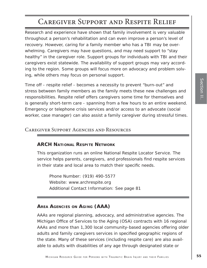# Caregiver Support and Respite Relief

Research and experience have shown that family involvement is very valuable throughout a person's rehabilitation and can even improve a person's level of recovery. However, caring for a family member who has a TBI may be overwhelming. Caregivers may have questions, and may need support to "stay healthy" in the caregiver role. Support groups for individuals with TBI and their caregivers exist statewide. The availability of support groups may vary according to the region. Some groups will focus more on advocacy and problem solving, while others may focus on personal support.

Time off - respite relief - becomes a necessity to prevent "burn-out" and stress between family members as the family meets these new challenges and responsibilities. Respite relief offers caregivers some time for themselves and is generally short-term care - spanning from a few hours to an entire weekend. Emergency or telephone crisis services and/or access to an advocate (social worker, case manager) can also assist a family caregiver during stressful times.

### Caregiver Support Agencies and Resources

### **ARCH NATIONAL RESPITE NETWORK**

This organization runs an online National Respite Locator Service. The service helps parents, caregivers, and professionals find respite services in their state and local area to match their specific needs.

*Phone Number:* (919) 490-5577 *Website:* www.archrespite.org  *Additional Contact Information:* See page 81

### **AREA AGENCIES ON AGING (AAA)**

**MICHIGAN RESOURCE FOR PERSONS AND RESOURCE THEIR INTERNATION CONDUCTS SOME CONDUCT SOMETHING THE SUPPORT SOMETHING THE SUPPORT AGENCIES AND RESOURCES AND AND A SUPPORT AGENCIES AND RESOURCES TO A PHOTOMOPY CONSIDER AND AN** AAAs are regional planning, advocacy, and administrative agencies. The Michigan Office of Services to the Aging (OSA) contracts with 16 regional AAAs and more than 1,300 local community-based agencies offering older adults and family caregivers services in specified geographic regions of the state. Many of these services (including respite care) are also available to adults with disabilities of any age through designated state or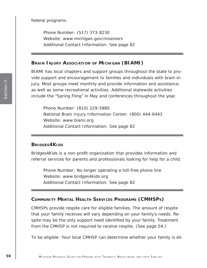federal programs.

*Phone Number:* (517) 373-8230 *Website:* www.michigan.gov/miseniors  *Additional Contact Information:* See page 82

#### **BRAIN INJURY ASSOCIATION OF MICHIGAN (BIAMI)**

BIAMI has local chapters and support groups throughout the state to provide support and encouragement to families and individuals with brain injury. Most groups meet monthly and provide information and assistance, as well as some recreational activities. Additional statewide activities include the "Spring Fling" in May and conferences throughout the year.

*Phone Number:* (810) 229-5880 National Brain Injury Information Center: (800) 444-6443 *Website:* www.biami.org  *Additional Contact Information:* See page 82

### **BRIDGES4KIDS**

Bridges4Kids is a non-profit organization that provides information and referral services for parents and professionals looking for help for a child.

*Phone Number:* No longer operating a toll-free phone line  *Website:* www.bridges4kids.org  *Additional Contact Information:* See page 82

### **COMMUNITY MENTAL HEALTH SERVICES PROGRAMS (CMHSPS)**

**56 Example 10 MICHIGAN RESOLUT RESONS CONTROLLED AND SECTION TRANSPARENT RESOLUT AND AN ANDEL TRANSPARENT CONDUCT AND MADILITY <b>***Phone Number*: (810) 229-5880<br> **Example** *Resons Multional State Munitipy Informatio* CMHSPs provide respite care for eligible families. The amount of respite that your family receives will vary depending on your family's needs. Respite may be the only support need identified by your family. Treatment from the CMHSP is not required to receive respite. (See page 54.)

*To be eligible:* Your local CMHSP can determine whether your family is eli-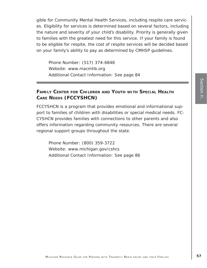gible for Community Mental Health Services, including respite care services. Eligibility for services is determined based on several factors, including the nature and severity of your child's disability. Priority is generally given to families with the greatest need for this service. If your family is found to be eligible for respite, the cost of respite services will be decided based on your family's ability to pay as determined by CMHSP guidelines.

*Phone Number:* (517) 374-6848 *Website:* www.macmhb.org  *Additional Contact Information:* See page 84

### **FAMILY CENTER FOR CHILDREN AND YOUTH WITH SPECIAL HEALTH CARE NEEDS (FCCYSHCN)**

**ENEON CHILDREN AND YOUTH WITH SPECIAL HEALTH<br>
<b>ENEONS (FCCYSHCNI)**<br> *MICHIGAN RESOURCE CONSIDER TRAUMATIC SCIENCIAL SUPPORTION IS a program that provides emotional and informational sup-<br>
to families of children with disa* FCCYSHCN is a program that provides emotional and informational support to families of children with disabilities or special medical needs. FC-CYSHCN provides families with connections to other parents and also offers information regarding community resources. There are several regional support groups throughout the state.

*Phone Number:* (800) 359-3722 *Website:* www.michigan.gov/cshcs  *Additional Contact Information:* See page 86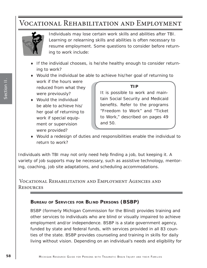### Vocational Rehabilitation and Employment



Individuals may lose certain work skills and abilities after TBI. Learning or relearning skills and abilities is often necessary to resume employment. Some questions to consider before returning to work include:

- If the individual chooses, is he/she healthy enough to consider returning to work?
- Would the individual be able to achieve his/her goal of returning to work if the hours were reduced from what they were previously? **TIP** It is possible to work and main-
- Would the individual be able to achieve his/ her goal of returning to work if special equipment or supervision were provided?

tain Social Security and Medicaid benefits. Refer to the programs "Freedom to Work" and "Ticket to Work," described on pages 49 and 50.

 Would a redesign of duties and responsibilities enable the individual to return to work?

Individuals with TBI may not only need help finding a job, but keeping it. A variety of job supports may be necessary, such as assistive technology, mentoring, coaching, job site adaptations, and scheduling accommodations.

### Vocational Rehabilitation and Employment Agencies and Resources

### **BUREAU OF SERVICES FOR BLIND PERSONS (BSBP)**

**58 Example 10 MICHIGAN RESOURCE SECTION Example 10 COLLAR RESOURCE CONSIDERATION Example 10 COLLAR RESOURCE SECTION 10 COLLAR RESOURCE TRANUMATIC 10 COLLAR RESOURCE AND COLLAR PERSONS WITH TRAUMATIC 1** BSBP (formerly Michigan Commission for the Blind) provides training and other services to individuals who are blind or visually impaired to achieve employment and/or independence. BSBP is a state government agency, funded by state and federal funds, with services provided in all 83 counties of the state. BSBP provides counseling and training in skills for daily living without vision. Depending on an individual's needs and eligibility for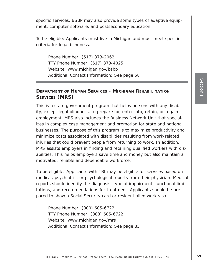specific services, BSBP may also provide some types of adaptive equipment, computer software, and postsecondary education.

To be eligible: Applicants must live in Michigan and must meet specific criteria for legal blindness.

*Phone Number:* (517) 373-2062 *TTY Phone Number:* (517) 373-4025 *Website:* www.michigan.gov/bsbp  *Additional Contact Information:* See page 58

### **DEPARTMENT OF HUMAN SERVICES - MICHIGAN REHABILITATION SERVICES (MRS)**

**MRTMENT OF HUMAN SERVICES - MICHIGAN REHABILITATION**<br> **MICHIGAN RESOURCE CONTIFY**<br> **EXECUTE:**<br> **EXECUTE CONTIFY**<br> **EXECUTE CONTIFY**<br> **EXECUTE CONTIFY**<br> **EXECUTE CONTIFY**<br> **MICHIGAN RESONS** INCLUDED THE MOMENT ON THE BOT A This is a state government program that helps persons with any disability, except legal blindness, to prepare for, enter into, retain, or regain employment. MRS also includes the Business Network Unit that specializes in complex case management and promotion for state and national businesses. The purpose of this program is to maximize productivity and minimize costs associated with disabilities resulting from work-related injuries that could prevent people from returning to work. In addition, MRS assists employers in finding and retaining qualified workers with disabilities. This helps employers save time and money but also maintain a motivated, reliable and dependable workforce.

*To be eligible:* Applicants with TBI may be eligible for services based on medical, psychiatric, or psychological reports from their physician. Medical reports should identify the diagnosis, type of impairment, functional limitations, and recommendations for treatment. Applicants should be prepared to show a Social Security card or resident alien work visa.

*Phone Number:* (800) 605-6722 *TTY Phone Number:* (888) 605-6722 *Website:* www.michigan.gov/mrs  *Additional Contact Information:* See page 85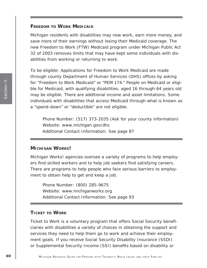### **FREEDOM TO WORK MEDICAID**

Michigan residents with disabilities may now work, earn more money, and save more of their earnings without losing their Medicaid coverage. The new Freedom to Work (FTW) Medicaid program under Michigan Public Act 32 of 2003 removes limits that may have kept some individuals with disabilities from working or returning to work.

**60 Example on Mork Medicald" or "PEM 174." People on Medical<br>
ble for Medicald, with qualifying disabilities, anged 16 through 64<br>
may be eligible. There are additional lincome and asset limitation<br>
individuals with dis** *To be eligible:* Applications for Freedom to Work Medicaid are made through county Department of Human Services (DHS) offices by asking for "Freedom to Work Medicaid" or "PEM 174." People on Medicaid or eligible for Medicaid, with qualifying disabilities, aged 16 through 64 years old may be eligible. There are additional income and asset limitations. Some individuals with disabilities that access Medicaid through what is known as a "spend-down" or "deductible" are not eligible.

*Phone Number:* (517) 373-2035 (Ask for your county information) *Website:* www.michigan.gov/dhs  *Additional Contact Information:* See page 87

### **MICHIGAN WORKS!**

Michigan Works! agencies oversee a variety of programs to help employers find skilled workers and to help job seekers find satisfying careers. There are programs to help people who face serious barriers to employment to obtain help to get and keep a job.

*Phone Number:* (800) 285-9675 *Website:* www.michiganworks.org  *Additional Contact Information:* See page 93

### **TICKET TO WORK**

Ticket to Work is a voluntary program that offers Social Security beneficiaries with disabilities a variety of choices in obtaining the support and services they need to help them go to work and achieve their employment goals. If you receive Social Security Disability Insurance (SSDI) or Supplemental Security Income (SSI) benefits based on disability or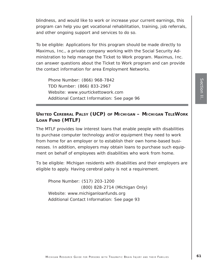blindness, and would like to work or increase your current earnings, this program can help you get vocational rehabilitation, training, job referrals, and other ongoing support and services to do so.

To be eligible: Applications for this program should be made directly to Maximus, Inc., a private company working with the Social Security Administration to help manage the Ticket to Work program. Maximus, Inc. can answer questions about the Ticket to Work program and can provide the contact information for area Employment Networks.

*Phone Number:* (866) 968-7842  *TDD Number:* (866) 833-2967 *Website:* www.yourtickettowork.com  *Additional Contact Information:* See page 96

### **UNITED CEREBRAL PALSY (UCP) OF MICHIGAN – MICHIGAN TELEWORK LOAN FUND (MTLF)**

The MTLF provides low interest loans that enable people with disabilities to purchase computer technology and/or equipment they need to work from home for an employer or to establish their own home-based businesses. In addition, employers may obtain loans to purchase such equipment on behalf of employees with disabilities who work from home.

*To be eligible*: Michigan residents with disabilities and their employers are eligible to apply. Having cerebral palsy is not a requirement.

*Phone Number:* (517) 203-1200 (800) 828-2714 (Michigan Only) *Website:* www.michiganloanfunds.org  *Additional Contact Information:* See page 93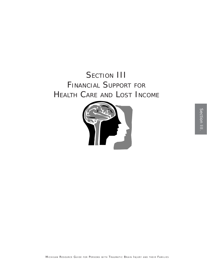# **SECTION III** FINANCIAL SUPPORT FOR HEALTH CARE AND LOST INCOME

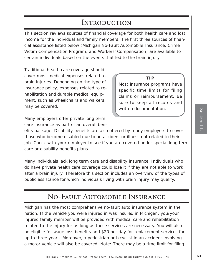### **INTRODUCTION**

This section reviews sources of financial coverage for both health care and lost income for the individual and family members. The first three sources of financial assistance listed below (Michigan No-Fault Automobile Insurance, Crime Victim Compensation Program, and Workers' Compensation) are available to certain individuals based on the events that led to the brain injury.

Traditional health care coverage should cover most medical expenses related to brain injuries. Depending on the type of insurance policy, expenses related to rehabilitation and durable medical equipment, such as wheelchairs and walkers, may be covered.

#### **TIP**

Most insurance programs have specific time limits for filing claims or reimbursement. Be sure to keep all records and written documentation.

Many employers offer private long term care insurance as part of an overall ben-

efits package. Disability benefits are also offered by many employers to cover those who become disabled due to an accident or illness not related to their job. Check with your employer to see if you are covered under special long term care or disability benefits plans.

Many individuals lack long term care and disability insurance. Individuals who do have private health care coverage could lose it if they are not able to work after a brain injury. Therefore this section includes an overview of the types of public assistance for which individuals living with brain injury may qualify.

# No-Fault Automobile Insurance

*MICHIER RESOURE FOR PERSONS CUIDER CUIDER AND ABOURT AREOVER CUIDER AREOVER CUIDER AREOVER CUIDER AREOVER AREOVER CUIDER AREOVER CUIDER AREOVER AREOVER AREOVER AREOVER AREOVER AREOVER AREOVER AREOVER AREOVER AREOVER* Michigan has the most comprehensive no-fault auto insurance system in the nation. If the vehicle you were injured in was insured in Michigan, you/your injured family member will be provided with medical care and rehabilitation related to the injury for as long as these services are necessary. You will also be eligible for wage loss benefits and \$20 per day for replacement services for up to three years. Moreover, a pedestrian or bicyclist in an accident involving a motor vehicle will also be covered. Note: There may be a time limit for filing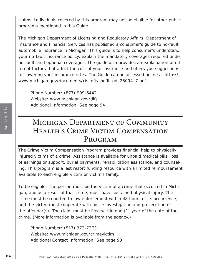claims. Individuals covered by this program may not be eligible for other public programs mentioned in this *Guide*.

The Michigan Department of Licensing and Regulatory Affairs, Department of Insurance and Financial Services has published a consumer's guide to no-fault automobile insurance in Michigan. This guide is to help consumer's understand your no-fault insurance policy, explain the mandatory coverages required under no-fault, and optional coverages. The guide also provides an explaination of different factors that affect the cost of your insurance and offers you suggestions for lowering your insurance rates. The Guide can be accessed online at http:// www.michigan.gov/documents/cis\_ofis\_noflt\_gd\_25094\_7.pdf

 *Phone Number:* (877) 999-6442  *Website:* www.michigan.gov/difs  *Additional Information:* See page 94

## MICHIGAN DEPARTMENT OF COMMUNITY Health's Crime Victim Compensation Program

The Crime Victim Compensation Program provides financial help to physically injured victims of a crime. Assistance is available for unpaid medical bills, loss of earnings or support, burial payments, rehabilitation assistance, and counseling. This program is a last resort funding resource with a limited reimbursement available to each eligible victim or victim's family.

**Example 14 CHIGAN DEPARTMENT OF COMMUNIT**<br> **FORMATIVE FORMATIVE FORMATIC**<br> **EXAMPLE COMPENSATIC**<br> **EXAMPLE FORMATIC**<br> **FORMATIVE PROGRAM**<br> **FORMATIC PROGRAM**<br> **FORMATIC PROGRAM**<br> **FORMATIC PROGRAM**<br> **FORMATIC PROGRAM**<br> *To be eligible*: The person must be the victim of a crime that occurred in Michigan, and as a result of that crime, must have sustained physical injury. The crime must be reported to law enforcement within 48 hours of its occurrence, and the victim must cooperate with police investigation and prosecution of the offender(s). The claim must be filed within one (1) year of the date of the crime. (More information is available from the agency.)

 *Phone Number:* (517) 373-7373  *Website:* www.michigan.gov/crimevictim  *Additional Contact Information:* See page 90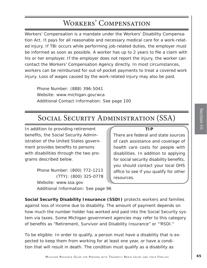# Workers' Compensation

Workers' Compensation is a mandate under the Workers' Disability Compensation Act. It pays for all reasonable and necessary medical care for a work-related injury. If TBI occurs while performing job-related duties, the employer must be informed as soon as possible. A worker has up to 2 years to file a claim with his or her employer. If the employer does not report the injury, the worker can contact the Workers' Compensation Agency directly. In most circumstances, workers can be reimbursed for out-of-pocket payments to treat a covered work injury. Loss of wages caused by the work-related injury may also be paid.

 *Phone Number:* (888) 396-5041  *Website:* www.michigan.gov/wca  *Additional Contact Information:* See page 100

## SOCIAL SECURITY ADMINISTRATION (SSA)

In addition to providing retirement benefits, the Social Security Administration of the United States government provides benefits to persons with disabilities through the two programs described below.

> *Phone Number:* (800) 772-1213  *(TTY):* (800) 325-0778  *Website:* www.ssa.gov  *Additional Information:* See page 96

**TIP**

There are federal and state sources of cash assistance and coverage of health care costs for people with disabilities. In addition to applying for social security disability benefits, you should contact your local DHS office to see if you qualify for other resources.

**MICHAL SECURITY ADMINISTRATION (SSA)**<br> **EXECURITY ADMINISTRATION (SSA)**<br> **EXECURE AND**<br> **EXECURE AND FAMILIES** through the two processions are considered and otherage of<br>
indices benefits to persons<br>
indices benefits to p **Social Security Disability Insurance (SSDI)** protects workers and families against loss of income due to disability. The amount of payment depends on how much the number holder has worked and paid into the Social Security system via taxes. Some Michigan government agencies may refer to this category of benefits as "Retirement, Survivor and Disability Insurance" or "'RSDI."

*To be eligible:* In order to qualify, a person must have a disability that is expected to keep them from working for at least one year, or have a condition that will result in death. The condition must qualify as a disability as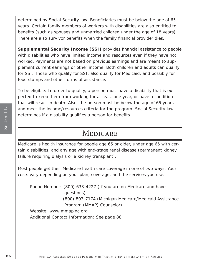determined by Social Security law. Beneficiaries must be below the age of 65 years. Certain family members of workers with disabilities are also entitled to benefits (such as spouses and unmarried children under the age of 18 years). There are also survivor benefits when the family financial provider dies.

**Supplemental Security Income (SSI)** provides financial assistance to people with disabilities who have limited income and resources even if they have not worked. Payments are not based on previous earnings and are meant to supplement current earnings or other income. Both children and adults can qualify for SSI. Those who qualify for SSI, also qualify for Medicaid, and possibly for food stamps and other forms of assistance.

*To be eligible*: In order to qualify, a person must have a disability that is expected to keep them from working for at least one year, or have a condition that will result in death. Also, the person must be below the age of 65 years and meet the income/resources criteria for the program. Social Security law determines if a disability qualifies a person for benefits.

### **MEDICARE**

Medicare is health insurance for people age 65 or older, under age 65 with certain disabilities, and any age with end-stage renal disease (permanent kidney failure requiring dialysis or a kidney transplant).

Most people get their Medicare health care coverage in one of two ways. Your costs vary depending on your plan, coverage, and the services you use.

and meet the income/resources criteria for the program. Social Security<br>
determines if a disability qualifies a person for benefits.<br> **MEDICARE**<br>
MEDICARE<br>
MEDICARE<br>
MEDICARE<br>
Tailure requiring dialysis or a kidney transpl  *Phone Number:* (800) 633-4227 (If you are on Medicare and have questions) (800) 803-7174 (Michigan Medicare/Medicaid Assistance Program (MMAP) Counselor)  *Website:* www.mmapinc.org  *Additional Contact Information:* See page 88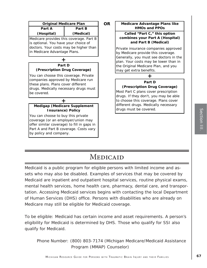| <b>Original Medicare Plan</b>                                                                                                                                                              |           | <b>OR</b> | <b>Medicare Advanta</b>                                                           |
|--------------------------------------------------------------------------------------------------------------------------------------------------------------------------------------------|-----------|-----------|-----------------------------------------------------------------------------------|
| Part A                                                                                                                                                                                     | Part B    |           | <b>HMOs and</b>                                                                   |
| (Hospital)                                                                                                                                                                                 | (Medical) |           | Called "Part C,"                                                                  |
| Medicare provides this coverage. Part B<br>is optional. You have your choice of                                                                                                            |           |           | combines your Par<br>and Part B (I                                                |
| doctors. Your costs may be higher than<br>in Medicare Advantage Plans.                                                                                                                     |           |           | Private insurance com<br>by Medicare provide th                                   |
|                                                                                                                                                                                            |           |           | Generally, you must se<br>plan. Your costs may b                                  |
| Part D<br>(Prescription Drug Coverage)                                                                                                                                                     |           |           | the Original Medicare I<br>may get extra benefits                                 |
| You can choose this coverage. Private                                                                                                                                                      |           |           |                                                                                   |
| companies approved by Medicare run<br>these plans. Plans cover different<br>drugs. Medically necessary drugs must<br>be covered.                                                           |           |           | Part I<br>(Prescription Dru<br>Most Part C plans cove<br>drugs. If they don't, yo |
| ┿                                                                                                                                                                                          |           |           | to choose this coverag                                                            |
| <b>Medigap (Medicare Supplement</b><br><b>Insurance) Policy</b>                                                                                                                            |           |           | different drugs. Medica<br>drugs must be covered                                  |
| You can choose to buy this private<br>coverage (or an employer/union may<br>offer similar coverage) to fill in gaps in<br>Part A and Part B coverage. Costs vary<br>by policy and company. |           |           |                                                                                   |

#### **Mge Plans like PPOs**

this option t A (Hospital) **Medical)** 

panies approved his coverage. ee doctors in the pe lower than in Plan, and you may get extra benefits.

#### ר<br> **Part D g Coverage)**

er prescription ou may be able e. Plans cover ally necessary drugs must be covered.

# **MEDICAID**

**MICHIGAN RESOURCE THEIR PERSONS THEIR PERSONS THEIR CONDUCT ON A PROBATIC CONDUCT AND A PART B CONTINUING BRAIN THEIR CONDUCT AND A PART B CONTINUITY OF A PART PROPERTY AND AND A PART PROPERTY <b>AND ATTENT S** a public pr Medicaid is a public program for eligible persons with limited income and assets who may also be disabled. Examples of services that may be covered by Medicaid are inpatient and outpatient hospital services, routine physical exams, mental health services, home health care, pharmacy, dental care, and transportation. Accessing Medicaid services begins with contacting the local Department of Human Services (DHS) office. Persons with disabilities who are already on Medicare may still be eligible for Medicaid coverage.

*To be eligible*: Medicaid has certain income and asset requirements. A person's eligibility for Medicaid is determined by DHS. Those who qualify for SSI also qualify for Medicaid.

 *Phone Number:* (800) 803-7174 (Michigan Medicare/Medicaid Assistance Program (MMAP) Counselor)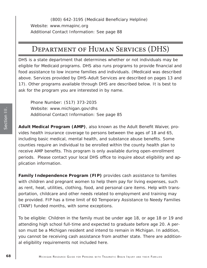(800) 642-3195 (Medicaid Beneficiary Helpline)  *Website:* www.mmapinc.org  *Additional Contact Information:* See page 88

### Department of Human Services (DHS)

DHS is a state department that determines whether or not individuals may be eligible for Medicaid programs. DHS also runs programs to provide financial and food assistance to low income families and individuals. (Medicaid was described above. Services provided by DHS-Adult Services are described on pages 13 and 17). Other programs available through DHS are described below. It is best to ask for the program you are interested in by name.

 *Phone Number:* (517) 373-2035  *Website:* www.michigan.gov/dhs  *Additional Contact Information:* See page 85

*Mathional Contact Information*: See page 85<br> **Additional Contact Information**: See page 85<br> **Adult Medical Program CAMP**), also known as the Adult Benefit Wai<br>
vides health instruction coverage to persons between the ages Adult Medical Program (AMP), also known as the Adult Benefit Waiver, provides health insurance coverage to persons between the ages of 18 and 65, including basic medical, mental health, and substance abuse benefits. Some counties require an individual to be enrolled within the county health plan to receive AMP benefits. This program is only available during open-enrollment periods. Please contact your local DHS office to inquire about eligibility and application information.

**Family Independence Program (FIP)** provides cash assistance to families with children and pregnant women to help them pay for living expenses, such as rent, heat, utilities, clothing, food, and personal care items. Help with transportation, childcare and other needs related to employment and training may be provided. FIP has a time limit of 60 Temporary Assistance to Needy Families (TANF) funded months, with some exceptions.

To be eligible: Children in the family must be under age 18, or age 18 or 19 and attending high school full-time and expected to graduate before age 20. A person must be a Michigan resident and intend to remain in Michigan. In addition, you cannot be receiving cash assistance from another state. There are additional eligibility requirements not included here.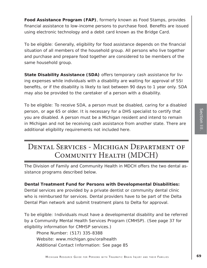**Food Assistance Program (FAP)**, formerly known as Food Stamps, provides financial assistance to low-income persons to purchase food. Benefits are issued using electronic technology and a debit card known as the Bridge Card.

To be eligible: Generally, eligibility for food assistance depends on the financial situation of all members of the household group. All persons who live together and purchase and prepare food together are considered to be members of the same household group.

**State Disability Assistance (SDA)** offers temporary cash assistance for living expenses while individuals with a disability are waiting for approval of SSI benefits, or if the disability is likely to last between 90 days to 1 year only. SDA may also be provided to the caretaker of a person with a disability.

*MICHIGAN RESONS* **A** *A MICHIGAN RESOURCE A A A Michigan resident and intend to remain and not be receiving cash assistance from another state. There are eligibility requirements not included here.<br> MICHIGAN DEPARTMENT To be eligible:* To receive SDA, a person must be disabled, caring for a disabled person, or age 65 or older. It is necessary for a DHS specialist to certify that you are disabled. A person must be a Michigan resident and intend to remain in Michigan and not be receiving cash assistance from another state. There are additional eligibility requirements not included here.

# Dental Services - Michigan Department of Community Health (MDCH)

The Division of Family and Community Health in MDCH offers the two dental assistance programs described below.

**Dental Treatment Fund for Persons with Developmental Disabilities:** Dental services are provided by a private dentist or community dental clinic who is reimbursed for services. Dental providers have to be part of the Delta Dental Plan network and submit treatment plans to Delta for approval.

*To be eligible*: Individuals must have a developmental disability and be referred by a Community Mental Health Services Program (CMHSP). (See page 37 for eligibility information for CMHSP services.)

 *Phone Number:* (517) 335-8388  *Website:* www.michigan.gov/oralhealth  *Additional Contact Information:* See page 85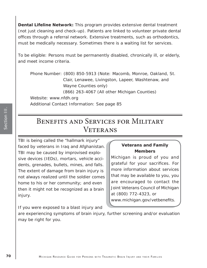**Dental Lifeline Network:** This program provides extensive dental treatment (not just cleaning and check-up). Patients are linked to volunteer private dental offices through a referral network. Extensive treatments, such as orthodontics, must be medically necessary. Sometimes there is a waiting list for services.

*To be eligible*: Persons must be permanently disabled, chronically ill, or elderly, and meet income criteria.

*Phone Number:* (800) 850-5913 (Note: Macomb, Monroe, Oakland, St. Clair, Lenawee, Livingston, Lapeer, Washtenaw, and Wayne Counties only) (866) 263-4067 (All other Michigan Counties) *Website:* www.nfdh.org  *Additional Contact Information:* See page 85

### Benefits and Services for Military Veterans

**70 712 70** *MICHIGAN RESOURCES FOR MILITARY WETERANS* **<b>178 18 bigger** caused by improvised explosive develocing to the material resources (IEDS), motrists, verifice accuracy and Families in the section of section TBI is being called the "hallmark injury" faced by veterans in Iraq and Afghanistan. TBI may be caused by improvised explosive devices (IEDs), mortars, vehicle accidents, grenades, bullets, mines, and falls. The extent of damage from brain injury is not always realized until the soldier comes home to his or her community; and even then it might not be recognized as a brain injury.

### **Veterans and Family Members**

Michigan is proud of you and grateful for your sacrifices. For more information about services that may be available to you, you are encouraged to contact the Joint Veterans Council of Michigan at (800) 772-4323, or www.michigan.gov/vetbenefits.

If you were exposed to a blast injury and

are experiencing symptoms of brain injury, further screening and/or evaluation may be right for you.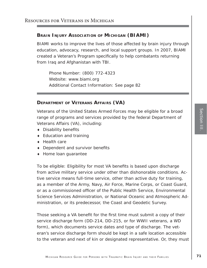### **BRAIN INJURY ASSOCIATION OF MICHIGAN (BIAMI)**

BIAMI works to improve the lives of those affected by brain injury through education, advocacy, research, and local support groups. In 2007, BIAMI created a Veteran's Program specifically to help combatants returning from Iraq and Afghanistan with TBI.

 *Phone Number*: (800) 772-4323 *Website*: www.biami.org *Additional Contact Information*: See page 82

### **DEPARTMENT OF VETERANS AFFAIRS (VA)**

Veterans of the United States Armed Forces may be eligible for a broad range of programs and services provided by the federal Department of Veterans Affairs (VA), including:

- $\bullet$  Disability benefits
- ◆ Education and training
- ◆ Health care
- $\bullet$  Dependent and survivor benefits
- Home loan guarantee

*To be eligible*: Eligibility for most VA benefits is based upon discharge from active military service under other than dishonorable conditions. Active service means full-time service, other than active duty for training, as a member of the Army, Navy, Air Force, Marine Corps, or Coast Guard, or as a commissioned officer of the Public Health Service, Environmental Science Services Administration, or National Oceanic and Atmospheric Administration, or its predecessor, the Coast and Geodetic Survey.

Those seeking a VA benefit for the first time must submit a copy of their service discharge form (DD-214, DD-215, or for WWII veterans, a WD form), which documents service dates and type of discharge. The veteran's service discharge form should be kept in a safe location accessible to the veteran and next of kin or designated representative. Or, they must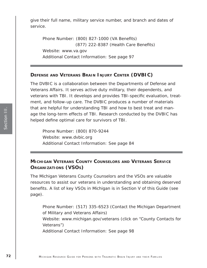give their full name, military service number, and branch and dates of service.

*Phone Number*: (800) 827-1000 (VA Benefits) (877) 222-8387 (Health Care Benefits) *Website*: www.va.gov *Additional Contact Information*: See page 97

### **DEFENSE AND VETERANS BRAIN INJURY CENTER (DVBIC)**

The DVBIC is a collaboration between the Departments of Defense and Veterans Affairs. It serves active duty military, their dependents, and veterans with TBI. It develops and provides TBI-specific evaluation, treatment, and follow-up care. The DVBIC produces a number of materials that are helpful for understanding TBI and how to best treat and manage the long-term effects of TBI. Research conducted by the DVBIC has helped define optimal care for survivors of TBI.

 *Phone Number*: (800) 870-9244 *Website*: www.dvbic.org *Additional Contact Information*: See page 84

### **MICHIGAN VETERANS COUNTY COUNSELORS AND VETERANS SERVICE ORGANIZATIONS (VSOS)**

The Michigan Veterans County Counselors and the VSOs are valuable resources to assist our veterans in understanding and obtaining deserved benefits. A list of key VSOs in Michigan is in Section V of this *Guide (see page)*.

**72** *MICHIGAN RESOURCE CUIDER AND ACCELERATES Section III. Phone Number.* **(800) 870-9244<br>** *Phone Number.* **(800) 870-9244<br>** *Website:* **www.dvblc.org<br>** *Additional Contact Information:* **See page 84<br>
<b>MICHIGAN VETERANS COUNTY**  *Phone Number*: (517) 335-6523 (Contact the Michigan Department of Military and Veterans Affairs) *Website*: www.michigan.gov/veterans (click on "County Contacts for Veterans") *Additional Contact Information*: See page 98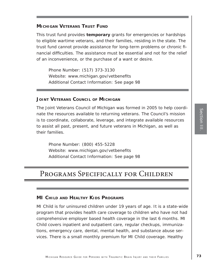### **MICHIGAN VETERANS TRUST FUND**

This trust fund provides *temporary* grants for emergencies or hardships to eligible wartime veterans, and their families, residing in the state. The trust fund cannot provide assistance for long-term problems or chronic fi nancial difficulties. The assistance must be essential and not for the relief of an inconvenience, or the purchase of a want or desire.

 *Phone Number*: (517) 373-3130 *Website*: www.michigan.gov/vetbenefits *Additional Contact Information*: See page 98

### **JOINT VETERANS COUNCIL OF MICHIGAN**

The Joint Veterans Council of Michigan was formed in 2005 to help coordinate the resources available to returning veterans. The Council's mission is to coordinate, collaborate, leverage, and integrate available resources to assist all past, present, and future veterans in Michigan, as well as their families.

*Phone Number*: (800) 455-5228 *Website*: www.michigan.gov/vetbenefits *Additional Contact Information*: See page 98

### Programs Specifically for Children

### **MI CHILD AND HEALTHY KIDS PROGRAMS**

*MICHIGAN RESONSCE CUIDER CONSTRANT CONSTRANT CONSTRANT CONSTRANT CONSTRANT CONSTRANT CONSTRANT CONSTRANT CONSTRANT CONSTRANT CONSTRANT CONSTRANT CONSTRANT CONSTRANT CONSTRANT CONSTRANT CONSTRANT CONSTRANT CONSTRANT CONSTR* MI Child is for uninsured children under 19 years of age. It is a state-wide program that provides health care coverage to children who have not had comprehensive employer based health coverage in the last 6 months. MI Child covers inpatient and outpatient care, regular checkups, immunizations, emergency care, dental, mental health, and substance abuse services. There is a small monthly premium for MI Child coverage. Healthy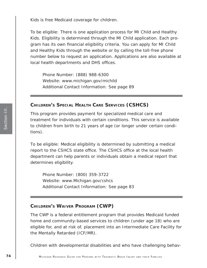Kids is free Medicaid coverage for children.

To be eligible: There is one application process for MI Child and Healthy Kids. Eligibility is determined through the MI Child application. Each program has its own financial eligibility criteria. You can apply for MI Child and Healthy Kids through the website or by calling the toll-free phone number below to request an application. Applications are also available at local health departments and DHS offices.

 *Phone Number*: (888) 988-6300 *Website*: www.michigan.gov/michild *Additional Contact Information*: See page 89

### **CHILDREN'S SPECIAL HEALTH CARE SERVICES (CSHCS)**

**74 74 74** *MICHIGAN RESOURCE CUIDERT ANOTEST <b>74 <i>MICHIGAN RESOLURERT SECTIONS CONSTRANS CONSTRANS CONSTRANS CONSTRANS CONSTRANS CONSTRANS CONSTRANS CONSTRANS CONSTRANT AND AND PERSONS CONSTRANT CONSTRANT CONSTRANT* This program provides payment for specialized medical care and treatment for individuals with certain conditions. This service is available to children from birth to 21 years of age (or longer under certain conditions).

*To be eligible:* Medical eligibility is determined by submitting a medical report to the CSHCS state office. The CSHCS office at the local health department can help parents or individuals obtain a medical report that determines eligibility.

*Phone Number*: (800) 359-3722 *Website*: www.Michigan.gov/cshcs *Additional Contact Information*: See page 83

### **CHILDREN'S WAIVER PROGRAM (CWP)**

The CWP is a federal entitlement program that provides Medicaid funded home and community-based services to children (under age 18) who are eligible for, and at risk of, placement into an Intermediate Care Facility for the Mentally Retarded (ICF/MR).

Children with developmental disabilities and who have challenging behav-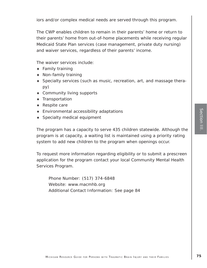iors and/or complex medical needs are served through this program.

The CWP enables children to remain in their parents' home or return to their parents' home from out-of-home placements while receiving regular Medicaid State Plan services (case management, private duty nursing) and waiver services, regardless of their parents' income.

The waiver services include:

- Family training
- Non-family training
- Specialty services (such as music, recreation, art, and massage therapy)
- Community living supports
- Transportation
- ◆ Respite care
- Environmental accessibility adaptations
- ◆ Specialty medical equipment

**Example 18 and Explority and approach and a comparison the program statewide. Although the program is at capacity, a waiting list is maintained using a priority rating**  $\frac{1}{2}$ **<br>
<b>EXPLUSE TRAUMATIC BRAIN INTERNATIVE CONSU** The program has a capacity to serve 435 children statewide. Although the program is at capacity, a waiting list is maintained using a priority rating system to add new children to the program when openings occur.

To request more information regarding eligibility or to submit a prescreen application for the program contact your local Community Mental Health Services Program.

*Phone Number*: (517) 374-6848 *Website*: www.macmhb.org *Additional Contact Information*: See page 84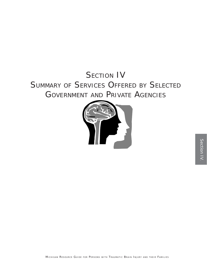# **SECTION IV** SUMMARY OF SERVICES OFFERED BY SELECTED GOVERNMENT AND PRIVATE AGENCIES

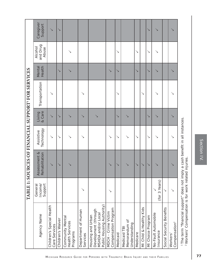|                                                                                                       | TABLE 1: SOU                  |                                |                                 |                  | RCES OF FINANCIAL SUPPORT <sup>1</sup> FOR SERVICES |                  |                              |                      |
|-------------------------------------------------------------------------------------------------------|-------------------------------|--------------------------------|---------------------------------|------------------|-----------------------------------------------------|------------------|------------------------------|----------------------|
| Agency Name                                                                                           | Income/<br>Support<br>General | Assessment &<br>Rehabilitation | Technology<br>Assistive         | & Care<br>Living | Transportation                                      | Mental<br>Health | and Drug<br>Alcohol<br>Abuse | Caregiver<br>Support |
| Children's Special Health<br>Care Services                                                            |                               |                                | ↘                               | ↘                | ↘                                                   |                  |                              | ↘                    |
| Children's Waiver                                                                                     |                               | ↘                              | ↘                               | ↘                |                                                     | ↘                |                              | ↘                    |
| Community Mental<br>Health Services<br>Programs                                                       |                               |                                |                                 |                  |                                                     |                  |                              |                      |
| Department of Human<br>Services                                                                       | ↘                             |                                | $\searrow$                      |                  | ↘                                                   |                  |                              |                      |
| Public Housing Authority)<br>Development (through<br>MSHDA and/or Local<br>Housing and Urban          |                               |                                |                                 |                  |                                                     |                  |                              |                      |
| Compensation Program<br>MDCH - Crime Victim                                                           | ↘                             | ↘                              | ↘                               |                  |                                                     | $\searrow$       |                              |                      |
| Medicaid                                                                                              |                               |                                |                                 | $\rightarrow$    | ↘                                                   | ↘                | ↘                            |                      |
| Memorandum of<br>Understanding<br>Medicaid TBI                                                        |                               |                                |                                 |                  |                                                     |                  |                              |                      |
| Medicare                                                                                              |                               | ↘                              | ↘                               |                  |                                                     | ↘                | ↘                            |                      |
| MI Child & Healthy Kids                                                                               |                               |                                |                                 |                  |                                                     |                  |                              |                      |
| MI Choice Program                                                                                     |                               | ↘                              | ↘                               | ↘                |                                                     | ↘                | ↘                            | ↘                    |
| No-Fault Automobile<br>Insurance                                                                      | (for 3 Years)                 |                                |                                 |                  | ↘                                                   |                  |                              |                      |
| Social Security Benefits                                                                              | ↘                             |                                |                                 |                  |                                                     |                  |                              |                      |
| Compensation <sup>2</sup><br>Workers'                                                                 | ↘                             |                                | ↘                               | ↘                |                                                     | ↘                |                              |                      |
| The term "financial support" does not imply<br><sup>2</sup> Workers' Compensation is for work related |                               | injuries.                      | a cash benefit in all instances |                  |                                                     |                  |                              |                      |
|                                                                                                       |                               | Section IV.                    |                                 |                  |                                                     |                  |                              |                      |
|                                                                                                       |                               |                                |                                 |                  |                                                     |                  |                              |                      |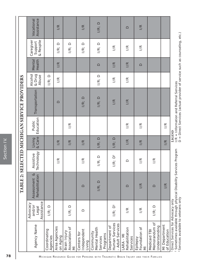| <b>Service Service</b>                                                                                                |
|-----------------------------------------------------------------------------------------------------------------------|
|                                                                                                                       |
|                                                                                                                       |
| <b>Contract Contract Contract Contract Contract Contract Contract Contract Contract Contract Contract Contract Co</b> |
|                                                                                                                       |
|                                                                                                                       |
|                                                                                                                       |

|             |                                              | Assistance<br>Vocational                  |                          | 1/R                          |                                | 1/R                                  | $I/R$ ; $D$                                                                        |                                                     | $\Box$                                  | 1/R                                                       |                                                |                                      |                                   |
|-------------|----------------------------------------------|-------------------------------------------|--------------------------|------------------------------|--------------------------------|--------------------------------------|------------------------------------------------------------------------------------|-----------------------------------------------------|-----------------------------------------|-----------------------------------------------------------|------------------------------------------------|--------------------------------------|-----------------------------------|
|             |                                              | & Respite<br>Caregiver<br>Support         |                          | ≏<br>$\overline{\mathbb{R}}$ | $\bigcap$<br>IR                | $\Box$<br> /R                        | $I/R$ ; $D$                                                                        | 1/R                                                 | $\overline{\mathsf{I}}$                 | 1/R                                                       |                                                |                                      |                                   |
|             |                                              | Health<br>Mental                          |                          | 1/R                          |                                |                                      | $\Box$                                                                             | 1/R                                                 | 1/R                                     | $\Box$                                                    |                                                |                                      |                                   |
|             |                                              | Alcohol<br>& Drug<br>Abuse                | $I/R$ ; D                | 1/R                          |                                |                                      | $I/R$ ; $D$                                                                        | 1/R                                                 | $\overline{\mathsf{I}}$                 |                                                           |                                                |                                      |                                   |
|             | TABLE 2: SELECTED MICHIGAN SERVICE PROVIDERS | Transportation                            |                          | ≏                            |                                | $I/R$ ; $D$                          | $I/R$ ; $D$                                                                        | 1/R                                                 | 1/R                                     |                                                           |                                                |                                      |                                   |
|             |                                              | Education<br>Public                       |                          |                              | 1/R                            |                                      |                                                                                    |                                                     | $\mathsf{I}\times\mathsf{R}$            | 1/R                                                       |                                                | 1/R                                  |                                   |
| Section IV. |                                              | & Care<br>Living                          |                          | 1/R                          | 1/R                            | 1/R                                  | $I/R$ ; $D$                                                                        | $\Box$<br> /R;                                      | 1/R                                     | 1/R                                                       |                                                | I/R                                  | LEGEND                            |
|             |                                              | Technology<br>Assistive                   |                          | $\leq$                       |                                | 1/R                                  | $I/R$ ; D                                                                          | $I/R$ ; $D2$                                        | $\supset$                               | 1/R                                                       | 1/R                                            |                                      |                                   |
|             |                                              | $\infty$<br>Rehabilitation<br>Assessment  |                          |                              |                                | $\hfill \Box$                        | $I/R$ ; $D$                                                                        |                                                     | $\Box$                                  | 1/R                                                       | $\Box$                                         | 1/R                                  |                                   |
|             |                                              | Assistance<br>Advocacy<br>and/or<br>Legal | $I/R$ ; D                |                              | $I/R$ ; $D$                    | $\hfill \Box$                        |                                                                                    | $I/R$ ; $DT$                                        | 1/R                                     | $\leq$                                                    | $I/R$ ; D                                      |                                      |                                   |
|             |                                              | Agency Name                               | Coordinating<br>Agencies | Area Agencies<br>on Aging    | Association of<br>Brain Injury | Independent<br>Centers for<br>Living | Mental Health<br>Community<br>Programs<br>Services                                 | Human Services<br>- Adult Services<br>Department of | Rehabilitation<br>LARA - MI<br>Services | Foundation of<br>Epilepsy<br>$\overline{\overline{\geq}}$ | Memorandum of<br>Understanding<br>Medicaid TBI | <b>MI</b> Department<br>of Education | Direct Services for Advocacy only |
| 78          |                                              |                                           |                          |                              |                                |                                      | MICHIGAN RESOURCE GUIDE FOR PERSONS WITH TRAUMATIC BRAIN INJURY AND THEIR FAMILIES |                                                     |                                         |                                                           |                                                |                                      |                                   |

I/R = Information and Referral Services

D = Direct Services (actual provider of service such as counseling, etc.)

<sup>2</sup> Sometimes available through physical Disability Services Program<br><sup>3</sup> Services available to veterans only 2 Sometimes available through physical Disability Services Program 3 Services available to veterans only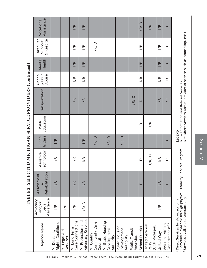|                                                                                    |                                                                                                                                                                                     |                                           |                                   |                         |                  |                     | TABLE 2: SELECTED MICHIGAN SERVICE PROVIDERS (continued)                                                             |                            |                  |                                   |                          |
|------------------------------------------------------------------------------------|-------------------------------------------------------------------------------------------------------------------------------------------------------------------------------------|-------------------------------------------|-----------------------------------|-------------------------|------------------|---------------------|----------------------------------------------------------------------------------------------------------------------|----------------------------|------------------|-----------------------------------|--------------------------|
|                                                                                    | Agency Name                                                                                                                                                                         | Assistance<br>Advocacy<br>and/or<br>Legal | Rehabilitation<br>Assessment<br>∞ | Technology<br>Assistive | & Care<br>Living | Education<br>Public | Transportation                                                                                                       | Alcohol<br>& Drug<br>Abuse | Mental<br>Health | & Respite<br>Caregiver<br>Support | Assistance<br>Vocational |
|                                                                                    | Rights Coalitions<br>MI Disability                                                                                                                                                  | 1/R                                       | 1/R                               | 1/R                     | 1/R              |                     |                                                                                                                      |                            |                  |                                   |                          |
|                                                                                    | MI Legal Aid<br>Services                                                                                                                                                            | 1/R                                       |                                   |                         |                  |                     |                                                                                                                      |                            |                  |                                   |                          |
|                                                                                    | Care Connections<br>MI Long Term                                                                                                                                                    | 1/R                                       | 1/R                               | 1/R                     |                  |                     | 1/R                                                                                                                  | 1/R                        | 1/R              | 1/R                               | 1/R                      |
|                                                                                    | Advocacy Services<br>MI Protection and                                                                                                                                              | $\Box$<br>$ R\rangle$                     | 1/R                               | 1/R                     | 1/R              |                     | 1/R                                                                                                                  | 1/R                        | 1/R              | 1/R                               | 1/R                      |
|                                                                                    | Community Care<br>MI Quality<br>Council                                                                                                                                             |                                           |                                   |                         | $\Box$<br> /R;   |                     |                                                                                                                      |                            |                  | $I/R$ ; $D$                       |                          |
|                                                                                    | MI State Housing<br>Development<br>Authority                                                                                                                                        |                                           |                                   |                         | $\Box$<br> /R;   |                     |                                                                                                                      |                            |                  |                                   |                          |
|                                                                                    | Public Housing<br>Development<br>Authority                                                                                                                                          |                                           |                                   |                         | $\Box$<br> /R;   |                     |                                                                                                                      |                            |                  |                                   |                          |
|                                                                                    | Public Transit<br>Agencies                                                                                                                                                          |                                           |                                   |                         |                  |                     | $I/R$ ; $D$                                                                                                          |                            |                  |                                   |                          |
|                                                                                    | School District                                                                                                                                                                     |                                           | $\Box$                            | $\Box$                  |                  | $\Box$              | ≏                                                                                                                    | 1/R                        | 1/R              | 1/R                               | $\Box$<br> /R;           |
| MICHIGAN RESOURCE GUIDE FOR PERSONS WITH TRAUMATIC BRAIN INJURY AND THEIR FAMILIES | United Cerebral<br>(UCP Michigan)<br>Palsy                                                                                                                                          |                                           |                                   | $I/R$ ; $D$             |                  | 1/R                 |                                                                                                                      |                            |                  |                                   | 1/R                      |
|                                                                                    | United Way                                                                                                                                                                          | 1/R                                       | 1/R                               | $\leq$                  |                  |                     | 1/R                                                                                                                  | $\leq$                     | 1/R              | $\leq$                            | 1/R                      |
|                                                                                    | Veterans Affairs,<br>Department of 3                                                                                                                                                |                                           | $\Box$                            | $\supset$               | ≏                |                     | 1/R                                                                                                                  | $\hfill \Box$              | $\Box$           | $\bigcirc$                        | $\Box$                   |
|                                                                                    | <sup>2</sup> Sometimes available through physical Disability Services Program<br><sup>3</sup> Services available to veterans only<br><sup>1</sup> Direct Services for Advocacy only |                                           |                                   |                         | LEGEND           |                     | D = Direct Services (actual provider of service such as counseling, etc.)<br>I/R = Information and Referral Services |                            |                  |                                   |                          |
| 79                                                                                 |                                                                                                                                                                                     |                                           |                                   | Section IV.             |                  |                     |                                                                                                                      |                            |                  |                                   |                          |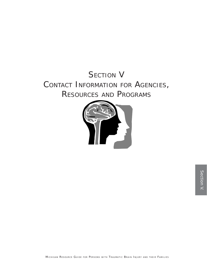# **SECTION V** CONTACT INFORMATION FOR AGENCIES, RESOURCES AND PROGRAMS

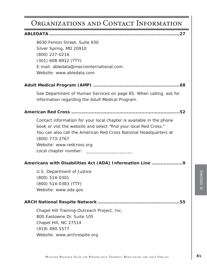| 8630 Fenton Street, Suite 930<br>Silver Spring, MD 20910<br>$(800)$ 227-0216<br>$(301)$ 608-8912 (TTY)<br>E-mail: abledata@macrointernational.com                                                                                 |  |
|-----------------------------------------------------------------------------------------------------------------------------------------------------------------------------------------------------------------------------------|--|
|                                                                                                                                                                                                                                   |  |
|                                                                                                                                                                                                                                   |  |
|                                                                                                                                                                                                                                   |  |
|                                                                                                                                                                                                                                   |  |
|                                                                                                                                                                                                                                   |  |
| Website: www.abledata.com                                                                                                                                                                                                         |  |
|                                                                                                                                                                                                                                   |  |
| See Department of Human Services on page 85. When calling, ask for<br>information regarding the Adult Medical Program.                                                                                                            |  |
|                                                                                                                                                                                                                                   |  |
| Contact information for your local chapter is available in the phone<br>book or vist the website and select "find your local Red Cross."<br>You can also call the American Red Cross National Headquarters at<br>$(800)$ 773-2767 |  |
| Website: www.redcross.org                                                                                                                                                                                                         |  |
| Local chapter number:                                                                                                                                                                                                             |  |
| Americans with Disabilities Act (ADA) Information Line 9                                                                                                                                                                          |  |
| U.S. Department of Justice                                                                                                                                                                                                        |  |
| $(800)$ 514-0301                                                                                                                                                                                                                  |  |
| $(800)$ 514-0383 (TTY)                                                                                                                                                                                                            |  |
| Website: www.ada.gov                                                                                                                                                                                                              |  |
|                                                                                                                                                                                                                                   |  |
| Chapel Hill Training-Outreach Project, Inc.                                                                                                                                                                                       |  |
| 800 Eastowne Dr. Suite 105                                                                                                                                                                                                        |  |
| Chapel Hill, NC 27514                                                                                                                                                                                                             |  |
| $(919)$ 490-5577                                                                                                                                                                                                                  |  |
| Website: www.archrespite.org                                                                                                                                                                                                      |  |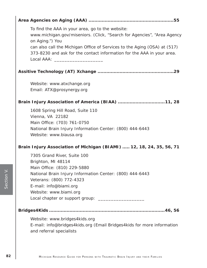|            | To find the AAA in your area, go to the website:                                                                                                    |
|------------|-----------------------------------------------------------------------------------------------------------------------------------------------------|
|            | www.michigan.gov/miseniors. (Click, "Search for Agencies", "Area Agency<br>on Aging.") You                                                          |
|            | can also call the Michigan Office of Services to the Aging (OSA) at (517)<br>373-8230 and ask for the contact information for the AAA in your area. |
|            |                                                                                                                                                     |
|            | Website: www.atxchange.org                                                                                                                          |
|            | Email: ATX@prosynergy.org                                                                                                                           |
|            | Brain Injury Association of America (BIAA) 11, 28                                                                                                   |
|            | 1608 Spring Hill Road, Suite 110                                                                                                                    |
|            | Vienna, VA 22182                                                                                                                                    |
|            | Main Office: (703) 761-0750                                                                                                                         |
|            | National Brain Injury Information Center: (800) 444-6443                                                                                            |
|            | Website: www.biausa.org                                                                                                                             |
|            | Brain Injury Association of Michigan (BIAMI)  12, 18, 24, 35, 56, 71                                                                                |
|            | 7305 Grand River, Suite 100                                                                                                                         |
|            | Brighton, MI 48114                                                                                                                                  |
|            | Main Office: (810) 229-5880                                                                                                                         |
| Section V. | National Brain Injury Information Center: (800) 444-6443                                                                                            |
|            | Veterans: (800) 772-4323                                                                                                                            |
|            | E-mail: info@biami.org                                                                                                                              |
|            | Website: www.biami.org                                                                                                                              |
|            | Local chapter or support group: _______________________                                                                                             |
|            |                                                                                                                                                     |
|            | Website: www.bridges4kids.org                                                                                                                       |
|            | E-mail: info@bridges4kids.org (Email Bridges4kids for more information                                                                              |
|            | and referral specialists                                                                                                                            |
|            |                                                                                                                                                     |
|            |                                                                                                                                                     |
| 82         | MICHIGAN RESOURCE GUIDE FOR PERSONS WITH TRAUMATIC BRAIN INJURY AND THEIR FAMILIES                                                                  |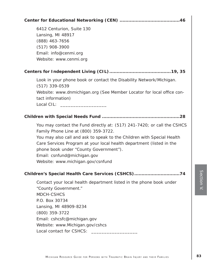| 6412 Centurion, Suite 130<br>Lansing, MI 48917<br>(888) 463-7656<br>$(517)$ 908-3900<br>Email: info@cenmi.org<br>Website: www.cenmi.org                                                                                                                                                                                                                                         |           |
|---------------------------------------------------------------------------------------------------------------------------------------------------------------------------------------------------------------------------------------------------------------------------------------------------------------------------------------------------------------------------------|-----------|
|                                                                                                                                                                                                                                                                                                                                                                                 |           |
| Look in your phone book or contact the Disability Network/Michigan.<br>$(517)$ 339-0539<br>Website: www.dnmichigan.org (See Member Locator for local office con-<br>tact information)                                                                                                                                                                                           |           |
|                                                                                                                                                                                                                                                                                                                                                                                 |           |
| You may contact the Fund directly at: (517) 241-7420; or call the CSHCS<br>Family Phone Line at (800) 359-3722.<br>You may also call and ask to speak to the Children with Special Health<br>Care Services Program at your local health department (listed in the<br>phone book under "County Government").<br>Email: csnfund@michigan.gov<br>Website: www.michigan.gov/csnfund |           |
| Children's Special Health Care Services (CSHCS)74                                                                                                                                                                                                                                                                                                                               |           |
| Contact your local health department listed in the phone book under<br>"County Government."<br>MDCH-CSHCS<br>P.O. Box 30734<br>Lansing, MI 48909-8234<br>(800) 359-3722<br>Email: cshcsfc@michigan.gov<br>Website: www.Michigan.gov/cshcs<br>Local contact for CSHCS: ____________________                                                                                      | Section V |
| MICHIGAN RESOURCE GUIDE FOR PERSONS WITH TRAUMATIC BRAIN INJURY AND THEIR FAMILIES                                                                                                                                                                                                                                                                                              | 83        |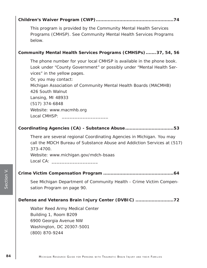|            | This program is provided by the Community Mental Health Services<br>Programs (CMHSP). See Community Mental Health Services Programs<br>below.                                                                                                                                                                                                                                                           |
|------------|---------------------------------------------------------------------------------------------------------------------------------------------------------------------------------------------------------------------------------------------------------------------------------------------------------------------------------------------------------------------------------------------------------|
|            | Community Mental Health Services Programs (CMHSPs)37, 54, 56                                                                                                                                                                                                                                                                                                                                            |
|            | The phone number for your local CMHSP is available in the phone book.<br>Look under "County Government" or possibly under "Mental Health Ser-<br>vices" in the yellow pages.<br>Or, you may contact:<br>Michigan Association of Community Mental Health Boards (MACMHB)<br>426 South Walnut<br>Lansing, MI 48933<br>$(517)$ 374-6848<br>Website: www.macmhb.org<br>Local CMHSP: _______________________ |
|            | Coordinating Agencies (CA) - Substance Abuse53                                                                                                                                                                                                                                                                                                                                                          |
|            | There are several regional Coordinating Agencies in Michigan. You may<br>call the MDCH Bureau of Substance Abuse and Addiction Services at (517)<br>373-4700.<br>Website: www.michigan.gov/mdch-bsaas<br>Local CA: ______________________                                                                                                                                                               |
|            |                                                                                                                                                                                                                                                                                                                                                                                                         |
| Section V. | See Michigan Department of Community Health - Crime Victim Compen-<br>sation Program on page 90.                                                                                                                                                                                                                                                                                                        |
|            | Defense and Veterans Brain Injury Center (DVBIC) 72                                                                                                                                                                                                                                                                                                                                                     |
|            | Walter Reed Army Medical Center<br>Building 1, Room B209<br>6900 Georgia Avenue NW<br>Washington, DC 20307-5001<br>(800) 870-9244                                                                                                                                                                                                                                                                       |
| 84         | MICHIGAN RESOURCE GUIDE FOR PERSONS WITH TRAUMATIC BRAIN INJURY AND THEIR FAMILIES                                                                                                                                                                                                                                                                                                                      |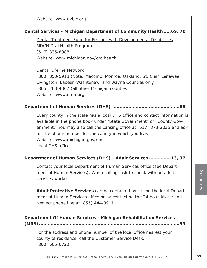Website: www.dvbic.org

# **Dental Services - Michigan Department of Community Health .....69, 70**

Dental Treatment Fund for Persons with Developmental Disabilities MDCH Oral Health Program (517) 335-8388 Website: www.michigan.gov/oralhealth

Dental Lifeline Network (800) 850-5913 (Note: Macomb, Monroe, Oakland, St. Clair, Lenawee, Livingston, Lapeer, Washtenaw, and Wayne Counties only) (866) 263-4067 (all other Michigan counties) Website: www.nfdh.org

# **Department of Human Services (DHS) ..............................................68**

Every county in the state has a local DHS office and contact information is available in the phone book under "State Government" or "County Government." You may also call the Lansing office at (517) 373-2035 and ask for the phone number for the county in which you live. Website: www.michigan.gov/dhs Local DHS offi ce: \_\_\_\_\_\_\_\_\_\_\_\_\_\_\_\_\_\_

### **Department of Human Services (DHS) - Adult Services ...............13, 37**

Contact your local Department of Human Services office (see Department of Human Services). When calling, ask to speak with an adult services worker.

*MICHIGAN RESOURCE GUIDE FOR PERSONS WITH TRAUMATIC BRAIN INJURY AND THEIR FAMILIES*<br> **MICHIGAN RESOURCE GUIDE FOR PERSONS WITH TRAUMATIC BRAIN INJURY AND THEIR FAMILIES<br>
<b>MICHIGAN RESOURCE GUIDE FOR PERSONS WITH TRAUMATIC Adult Protective Services** can be contacted by calling the local Department of Human Services office or by contacting the 24 hour Abuse and Neglect phone line at (855) 444-3911.

# **Department Of Human Services - Michigan Rehabilitation Services (MRS) ................................................................................................59**

For the address and phone number of the local office nearest your county of residence, call the Customer Service Desk: (800) 605-6722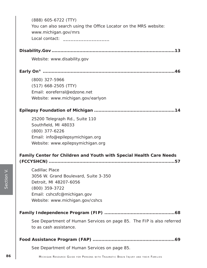|            | $(888)$ 605-6722 (TTY)<br>You can also search using the Office Locator on the MRS website:<br>www.michigan.gov/mrs |
|------------|--------------------------------------------------------------------------------------------------------------------|
|            |                                                                                                                    |
|            | Website: www.disability.gov                                                                                        |
|            |                                                                                                                    |
|            | (800) 327-5966                                                                                                     |
|            | $(517)$ 668-2505 (TTY)                                                                                             |
|            | Email: eoreferral@edzone.net                                                                                       |
|            | Website: www.michigan.gov/earlyon                                                                                  |
|            |                                                                                                                    |
|            | 25200 Telegraph Rd., Suite 110                                                                                     |
|            | Southfield, MI 48033                                                                                               |
|            | (800) 377-6226                                                                                                     |
|            | Email: info@epilepsymichigan.org                                                                                   |
|            | Website: www.epilepsymichigan.org                                                                                  |
|            | Family Center for Children and Youth with Special Health Care Needs                                                |
|            | <b>Cadillac Place</b>                                                                                              |
| Section V. | 3056 W. Grand Boulevard, Suite 3-350                                                                               |
|            | Detroit, MI 48207-6056                                                                                             |
|            | (800) 359-3722                                                                                                     |
|            | Email: cshcsfc@michigan.gov                                                                                        |
|            | Website: www.michigan.gov/cshcs                                                                                    |
|            |                                                                                                                    |
|            | See Department of Human Services on page 85. The FIP is also referred<br>to as cash assistance.                    |
|            |                                                                                                                    |
|            | See Department of Human Services on page 85.                                                                       |
| 86         | MICHIGAN RESOURCE GUIDE FOR PERSONS WITH TRAUMATIC BRAIN INJURY AND THEIR FAMILIES                                 |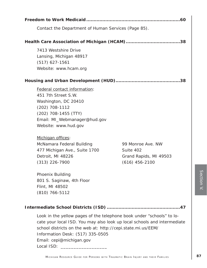| Contact the Department of Human Services (Page 85).                                |                        |           |
|------------------------------------------------------------------------------------|------------------------|-----------|
|                                                                                    |                        |           |
| 7413 Westshire Drive                                                               |                        |           |
| Lansing, Michigan 48917                                                            |                        |           |
| $(517)$ 627-1561                                                                   |                        |           |
| Website: www.hcam.org                                                              |                        |           |
|                                                                                    |                        |           |
| Federal contact information:                                                       |                        |           |
| 451 7th Street S.W.                                                                |                        |           |
| Washington, DC 20410                                                               |                        |           |
| $(202)$ 708-1112                                                                   |                        |           |
| $(202)$ 708-1455 (TTY)                                                             |                        |           |
| Email: MI_Webmanager@hud.gov                                                       |                        |           |
| Website: www.hud.gov                                                               |                        |           |
| Michigan offices:                                                                  |                        |           |
| McNamara Federal Building                                                          | 99 Monroe Ave. NW      |           |
| 477 Michigan Ave., Suite 1700                                                      | Suite 402              |           |
| Detroit, MI 48226                                                                  | Grand Rapids, MI 49503 |           |
| $(313)$ 226-7900                                                                   | $(616)$ 456-2100       |           |
| Phoenix Building                                                                   |                        | Section V |
| 801 S. Saginaw, 4th Floor                                                          |                        |           |
| Flint, MI 48502                                                                    |                        |           |
| $(810)$ 766-5112                                                                   |                        |           |
|                                                                                    |                        |           |
| Look in the yellow pages of the telephone book under "schools" to lo-              |                        |           |
| cate your local ISD. You may also look up local schools and intermediate           |                        |           |
| school districts on the web at: http://cepi.state.mi.us/EEM/                       |                        |           |
| Information Desk: (517) 335-0505                                                   |                        |           |
| Email: cepi@michigan.gov                                                           |                        |           |
| Local ISD: ____________________                                                    |                        |           |
| MICHIGAN RESOURCE GUIDE FOR PERSONS WITH TRAUMATIC BRAIN INJURY AND THEIR FAMILIES |                        | 87        |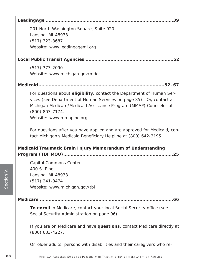|            | 201 North Washington Square, Suite 920<br>Lansing, MI 48933                                                                                                                                                                                                       |
|------------|-------------------------------------------------------------------------------------------------------------------------------------------------------------------------------------------------------------------------------------------------------------------|
|            | $(517)$ 323-3687<br>Website: www.leadingagemi.org                                                                                                                                                                                                                 |
|            |                                                                                                                                                                                                                                                                   |
|            | $(517)$ 373-2090<br>Website: www.michigan.gov/mdot                                                                                                                                                                                                                |
|            |                                                                                                                                                                                                                                                                   |
|            | For questions about eligibility, contact the Department of Human Ser-<br>vices (see Department of Human Services on page 85). Or, contact a<br>Michigan Medicare/Medicaid Assistance Program (MMAP) Counselor at<br>$(800)$ 803-7174.<br>Website: www.mmapinc.org |
|            | For questions after you have applied and are approved for Medicaid, con-<br>tact Michigan's Medicaid Beneficiary Helpline at (800) 642-3195.                                                                                                                      |
|            | Medicaid Traumatic Brain Injury Memorandum of Understanding                                                                                                                                                                                                       |
|            | <b>Capitol Commons Center</b><br>400 S. Pine<br>Lansing, MI 48933                                                                                                                                                                                                 |
| Section V. | $(517)$ 241-8474<br>Website: www.michigan.gov/tbi                                                                                                                                                                                                                 |
|            |                                                                                                                                                                                                                                                                   |
|            | To enroll in Medicare, contact your local Social Security office (see<br>Social Security Administration on page 96).                                                                                                                                              |
|            | If you are on Medicare and have questions, contact Medicare directly at<br>(800) 633-4227.                                                                                                                                                                        |
|            | Or, older adults, persons with disabilities and their caregivers who re-                                                                                                                                                                                          |
| 88         | MICHIGAN RESOURCE GUIDE FOR PERSONS WITH TRAUMATIC BRAIN INJURY AND THEIR FAMILIES                                                                                                                                                                                |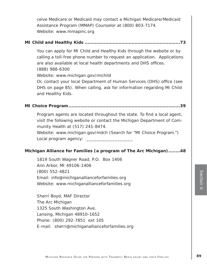ceive Medicare or Medicaid may contact a Michigan Medicare/Medicaid Assistance Program (MMAP) Counselor at (800) 803-7174. Website: www.mmapinc.org

# **MI Child and Healthy Kids .................................................................73**

You can apply for MI Child and Healthy Kids through the website or by calling a toll-free phone number to request an application. Applications are also available at local health departments and DHS offices. (888) 988-6300 Website: www.michigan.gov/michild Or, contact your local Department of Human Services (DHS) office (see

DHS on page 85). When calling, ask for information regarding MI Child and Healthy Kids.

### **MI Choice Program ............................................................................39**

Program agents are located throughout the state. To find a local agent, visit the following website or contact the Michigan Department of Community Health at (517) 241-8474.

Website: www.michigan.gov/mdch (Search for "MI Choice Program.") Local program agency: \_\_\_\_\_\_\_\_\_\_\_\_\_\_\_\_\_\_

### **Michigan Alliance for Families (a program of The Arc Michigan) ........48**

1819 South Wagner Road, P.O. Box 1406 Ann Arbor, MI 49106-1406 (800) 552-4821 Email: info@michiganallianceforfamilies.org Website: www.michiganallianceforfamilies.org

*MICHIGAN RESOURCE GUIDE FOR PERSONS WITH TRAUMATIC BRAIN INJURY AND THEIR FAMILIES*<br> *MICHIGAN*<br> *MICHIGAN MAF* Director<br> **AICHIGAN**<br> **MICHIGAN 48910-1652**<br> **AICHIGAN ACCOD**<br> **MICHIGAN RESOURCE GUIDE FOR PERSONS WITH TR** Sherri Boyd, MAF Director The Arc Michigan 1325 South Washington Ave. Lansing, Michigan 48910-1652 Phone: (800) 292-7851 ext 105 E-mail: sherri@michiganallianceforfamilies.org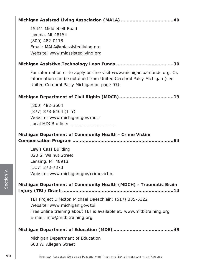|            | 15441 Middlebelt Road<br>Livonia, MI 48154<br>$(800)$ 482-0118                                                                                                                                  |
|------------|-------------------------------------------------------------------------------------------------------------------------------------------------------------------------------------------------|
|            | Email: MALA@miassistedliving.org<br>Website: www.miassistedliving.org                                                                                                                           |
|            |                                                                                                                                                                                                 |
|            | For information or to apply on-line visit www.michiganloanfunds.org. Or,<br>information can be obtained from United Cerebral Palsy Michigan (see<br>United Cerebral Palsy Michigan on page 97). |
|            |                                                                                                                                                                                                 |
|            | $(800)$ 482-3604<br>$(877)$ 878-8464 (TTY)                                                                                                                                                      |
|            | Website: www.michigan.gov/mdcr<br>Local MDCR office: ______________________                                                                                                                     |
|            | Michigan Department of Community Health - Crime Victim                                                                                                                                          |
|            | Lewis Cass Building<br>320 S. Walnut Street                                                                                                                                                     |
|            | Lansing, MI 48913                                                                                                                                                                               |
|            | $(517)$ 373-7373<br>Website: www.michigan.gov/crimevictim                                                                                                                                       |
| Section V. | Michigan Department of Community Health (MDCH) - Traumatic Brain                                                                                                                                |
|            | TBI Project Director, Michael Daeschlein: (517) 335-5322<br>Website: www.michigan.gov/tbi                                                                                                       |
|            | Free online training about TBI is available at: www.mitbitraining.org<br>E-mail: info@mitbitraining.org                                                                                         |
|            |                                                                                                                                                                                                 |
|            | Michigan Department of Education<br>608 W. Allegan Street                                                                                                                                       |
| 90         | MICHIGAN RESOURCE GUIDE FOR PERSONS WITH TRAUMATIC BRAIN INJURY AND THEIR FAMILIES                                                                                                              |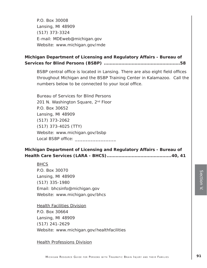P.O. Box 30008 Lansing, MI 48909 (517) 373-3324 E-mail: MDEweb@michigan.gov Website: www.michigan.gov/mde

# **Michigan Department of Licensing and Regulatory Affairs - Bureau of Services for Blind Persons (BSBP) ....................................................58**

BSBP central office is located in Lansing. There are also eight field offices throughout Michigan and the BSBP Training Center in Kalamazoo. Call the numbers below to be connected to your local office.

Bureau of Services for Blind Persons 201 N. Washington Square, 2nd Floor P.O. Box 30652 Lansing, MI 48909 (517) 373-2062 (517) 373-4025 (TTY) Website: www.michigan.gov/bsbp Local BSBP office: \_\_\_\_\_\_\_\_\_\_

**Michigan Department of Licensing and Regulatory Affairs - Bureau of Health Care Services (LARA - BHCS) ............................................40, 41**

BHCS P.O. Box 30070 Lansing, MI 48909 (517) 335-1980 Email: bhcsinfo@michigan.gov Website: www.michigan.gov/bhcs

Health Facilities Division P.O. Box 30664 Lansing, MI 48909 (517) 241-2629 Website: www.michigan.gov/healthfacilities

Health Professions Division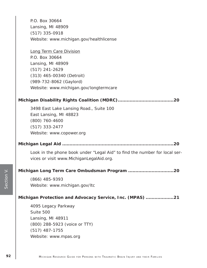P.O. Box 30664 Lansing, MI 48909 (517) 335-0918 Website: www.michigan.gov/healthlicense

#### Long Term Care Division

 P.O. Box 30664 Lansing, MI 48909 (517) 241-2629 (313) 465-00340 (Detroit) (989-732-8062 (Gaylord) Website: www.michigan.gov/longtermcare

### **Michigan Disability Rights Coalition (MDRC) ......................................20**

3498 East Lake Lansing Road., Suite 100 East Lansing, MI 48823 (800) 760-4600 (517) 333-2477 Website: www.copower.org

### **Michigan Legal Aid ............................................................................20**

Look in the phone book under "Legal Aid" to find the number for local services or visit www.MichiganLegalAid.org.

### **Michigan Long Term Care Ombudsman Program ...............................20**

(866) 485-9393 Website: www.michigan.gov/ltc

### **Michigan Protection and Advocacy Service, Inc. (MPAS) ...................21**

**<sup>92</sup>** *MICHIGAN RESOURCE GUIDE FOR PERSONS WITH TRAUMATIC BRAIN INJURY AND THEIR FAMILIES* Section V. Section V. 4095 Legacy Parkway Suite 500 Lansing, MI 48911 (800) 288-5923 (voice or TTY) (517) 487-1755 Website: www.mpas.org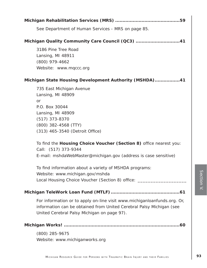| See Department of Human Services - MRS on page 85.                                 |            |
|------------------------------------------------------------------------------------|------------|
| Michigan Quality Community Care Council (QC3) 41                                   |            |
| 3186 Pine Tree Road                                                                |            |
| Lansing, MI 48911                                                                  |            |
| $(800)$ 979-4662                                                                   |            |
| Website: www.mqccc.org                                                             |            |
| Michigan State Housing Development Authority (MSHDA)41                             |            |
| 735 East Michigan Avenue                                                           |            |
| Lansing, MI 48909                                                                  |            |
| or                                                                                 |            |
| P.O. Box 30044                                                                     |            |
| Lansing, MI 48909                                                                  |            |
| $(517)$ 373-8370                                                                   |            |
| $(800)$ 382-4568 (TTY)                                                             |            |
| (313) 465-3540 (Detroit Office)                                                    |            |
| To find the Housing Choice Voucher (Section 8) office nearest you:                 |            |
| Call: (517) 373-9344                                                               |            |
| E-mail: mshdaWebMaster@michigan.gov (address is case sensitive)                    |            |
| To find information about a variety of MSHDA programs:                             |            |
| Website: www.michigan.gov/mshda                                                    |            |
| Local Housing Choice Voucher (Section 8) office: _______________________________   | Section V. |
|                                                                                    |            |
|                                                                                    |            |
| For information or to apply on-line visit www.michiganloanfunds.org. Or,           |            |
| information can be obtained from United Cerebral Palsy Michigan (see               |            |
| United Cerebral Palsy Michigan on page 97).                                        |            |
|                                                                                    |            |
| $(800)$ 285-9675                                                                   |            |
| Website: www.michiganworks.org                                                     |            |
|                                                                                    |            |
| MICHIGAN RESOURCE GUIDE FOR PERSONS WITH TRAUMATIC BRAIN INJURY AND THEIR FAMILIES | 93         |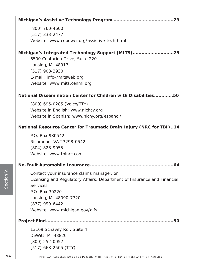|            | $(800)$ 760-4600                                                                           |
|------------|--------------------------------------------------------------------------------------------|
|            | $(517)$ 333-2477                                                                           |
|            | Website: www.copower.org/assistive-tech.html                                               |
|            | Michigan's Integrated Technology Support (MITS)29                                          |
|            | 6500 Centurion Drive, Suite 220                                                            |
|            | Lansing, MI 48917                                                                          |
|            | $(517)$ 908-3930                                                                           |
|            | E-mail: info@mitsweb.org<br>Website: www.mits.cenmi.org                                    |
|            | National Dissemination Center for Children with Disabilities50                             |
|            | (800) 695-0285 (Voice/TTY)                                                                 |
|            | Website in English: www.nichcy.org                                                         |
|            | Website in Spanish: www.nichy.org/espanol/                                                 |
|            |                                                                                            |
|            | National Resource Center for Traumatic Brain Injury (NRC for TBI)14                        |
|            | P.O. Box 980542                                                                            |
|            | Richmond, VA 23298-0542                                                                    |
|            | $(804)$ 828-9055                                                                           |
|            | Website: www.tbinrc.com                                                                    |
|            | .64                                                                                        |
|            | Contact your insurance claims manager, or                                                  |
| Section V. | Licensing and Regulatory Affairs, Department of Insurance and Financial<br><b>Services</b> |
|            | P.O. Box 30220                                                                             |
|            | Lansing, MI 48090-7720                                                                     |
|            | $(877)$ 999-6442                                                                           |
|            | Website: www.michigan.gov/difs                                                             |
|            | 50                                                                                         |
|            | 13109 Schavey Rd., Suite 4                                                                 |
|            | DeWitt, MI 48820                                                                           |
|            | $(800)$ 252-0052                                                                           |
|            | $(517)$ 668-2505 (TTY)                                                                     |
| 94         | MICHIGAN RESOURCE GUIDE FOR PERSONS WITH TRAUMATIC BRAIN INJURY AND THEIR FAMILIES         |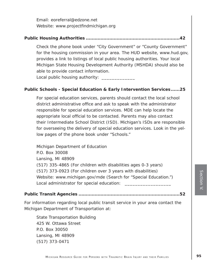Email: eoreferral@edzone.net Website: www.projectfindmichigan.org

# **Public Housing Authorities ................................................................42**

Check the phone book under "City Government" or "County Government" for the housing commission in your area. The HUD website, www.hud.gov, provides a link to listings of local public housing authorities. Your local Michigan State Housing Development Authority (MSHDA) should also be able to provide contact information.

Local public housing authority: \_\_\_\_\_\_\_\_

# **Public Schools - Special Education & Early Intervention Services ......25**

For special education services, parents should contact the local school district administrative office and ask to speak with the administrator responsible for special education services. MDE can help locate the appropriate local official to be contacted. Parents may also contact their Intermediate School District (ISD). Michigan's ISDs are responsible for overseeing the delivery of special education services. Look in the yellow pages of the phone book under "Schools."

*MICHIGAN RESOURCE GUIDE FOR PERSONS WITH TRAUMATIC BRAIN INJURY AND THEIR FAMILIES*<br> **MICHIGAN RESOURCE GUIDE CONDEMNATION**<br> **MICHIGAN RESOURCE GUIDE CONDEMNATION**<br> **MICHIGAN RESOURCE GUIDE FOR PERSONS WITH TRAUMATIC BRAI** Michigan Department of Education P.O. Box 30008 Lansing, MI 48909 (517) 335-4865 (For children with disabilities ages 0-3 years) (517) 373-0923 (For children over 3 years with disabilities) Website: www.michigan.gov/mde (Search for "Special Education.") Local administrator for special education:

# **Public Transit Agencies .....................................................................52**

For information regarding local public transit service in your area contact the Michigan Department of Transportation at:

State Transportation Building 425 W. Ottawa Street P.O. Box 30050 Lansing, MI 48909 (517) 373-0471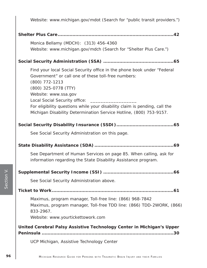|            | Website: www.michigan.gov/mdot (Search for "public transit providers.")                                                                                                                                                                                                                                                                                                               |
|------------|---------------------------------------------------------------------------------------------------------------------------------------------------------------------------------------------------------------------------------------------------------------------------------------------------------------------------------------------------------------------------------------|
|            |                                                                                                                                                                                                                                                                                                                                                                                       |
|            | Monica Bellamy (MDCH): (313) 456-4360<br>Website: www.michigan.gov/mdch (Search for "Shelter Plus Care.")                                                                                                                                                                                                                                                                             |
|            |                                                                                                                                                                                                                                                                                                                                                                                       |
|            | Find your local Social Security office in the phone book under "Federal<br>Government" or call one of these toll-free numbers:<br>(800) 772-1213<br>(800) 325-0778 (TTY)<br>Website: www.ssa.gov<br>Local Social Security office:<br>For eligibility questions while your disability claim is pending, call the<br>Michigan Disability Determination Service Hotline, (800) 753-9157. |
|            |                                                                                                                                                                                                                                                                                                                                                                                       |
|            | See Social Security Administration on this page.                                                                                                                                                                                                                                                                                                                                      |
|            |                                                                                                                                                                                                                                                                                                                                                                                       |
|            | See Department of Human Services on page 85. When calling, ask for<br>information regarding the State Disability Assistance program.                                                                                                                                                                                                                                                  |
|            |                                                                                                                                                                                                                                                                                                                                                                                       |
| Section V. | See Social Security Administration above.                                                                                                                                                                                                                                                                                                                                             |
|            |                                                                                                                                                                                                                                                                                                                                                                                       |
|            | Maximus, program manager, Toll-free line: (866) 968-7842<br>Maximus, program manager, Toll-free TDD line: (866) TDD-2WORK, (866)<br>833-2967.<br>Website: www.yourtickettowork.com                                                                                                                                                                                                    |
|            | United Cerebral Palsy Assistive Technology Center in Michigan's Upper                                                                                                                                                                                                                                                                                                                 |
|            | UCP Michigan, Assistive Technology Center                                                                                                                                                                                                                                                                                                                                             |
| 96         | MICHIGAN RESOURCE GUIDE FOR PERSONS WITH TRAUMATIC BRAIN INJURY AND THEIR FAMILIES                                                                                                                                                                                                                                                                                                    |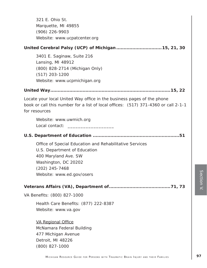| 321 E. Ohio St.<br>Marquette, MI 49855<br>$(906)$ 226-9903<br>Website: www.ucpatcenter.org                                                                                               |            |
|------------------------------------------------------------------------------------------------------------------------------------------------------------------------------------------|------------|
| United Cerebral Palsy (UCP) of Michigan 15, 21, 30                                                                                                                                       |            |
| 3401 E. Saginaw, Suite 216<br>Lansing, MI 48912<br>(800) 828-2714 (Michigan Only)<br>$(517)$ 203-1200<br>Website: www.ucpmichigan.org                                                    |            |
|                                                                                                                                                                                          |            |
| Locate your local United Way office in the business pages of the phone<br>book or call this number for a list of local offices: (517) 371-4360 or call 2-1-1<br>for resources            |            |
| Website: www.uwmich.org<br>Local contact: ___________________                                                                                                                            |            |
|                                                                                                                                                                                          |            |
| Office of Special Education and Rehabilitative Services<br>U.S. Department of Education<br>400 Maryland Ave. SW<br>Washington, DC 20202<br>$(202)$ 245-7468<br>Website: www.ed.gov/osers | Section V. |
|                                                                                                                                                                                          |            |
| VA Benefits: (800) 827-1000                                                                                                                                                              |            |
| Health Care Benefits: (877) 222-8387<br>Website: www.va.gov                                                                                                                              |            |
| <b>VA Regional Office</b><br>McNamara Federal Building<br>477 Michigan Avenue<br>Detroit, MI 48226<br>$(800)$ 827-1000                                                                   |            |
| MICHIGAN RESOURCE GUIDE FOR PERSONS WITH TRAUMATIC BRAIN INJURY AND THEIR FAMILIES                                                                                                       | 97         |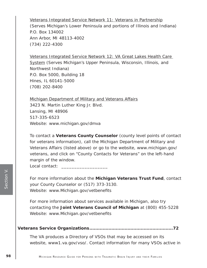Veterans Integrated Service Network 11: Veterans in Partnership (Serves Michigan's Lower Peninsula and portions of Illinois and Indiana) P.O. Box 134002 Ann Arbor, MI 48113-4002 (734) 222-4300

Veterans Integrated Service Network 12: VA Great Lakes Health Care System (Serves Michigan's Upper Peninsula, Wisconsin, Illinois, and Northwest Indiana) P.O. Box 5000, Building 18 Hines, IL 60141-5000 (708) 202-8400

Michigan Department of Military and Veterans Affairs 3423 N. Martin Luther King Jr. Blvd. Lansing, MI 48906 517-335-6523 Website: www.michigan.gov/dmva

To contact a **Veterans County Counselor** (county level points of contact for veterans information), call the Michigan Department of Military and Veterans Affairs (listed above) or go to the website, www.michigan.gov/ veterans, and click on "County Contacts for Veterans" on the left-hand margin of the window.

Local contact:

For more information about the **Michigan Veterans Trust Fund**<br>your County Counselor or (517) 373-3130.<br>Website: www.Michigan.gov/vetbenefits<br>For more information about services available in Michigan, also t<br>contacting the For more information about the **Michigan Veterans Trust Fund**, contact your County Counselor or (517) 373-3130. Website: www.Michigan.gov/vetbenefits

For more information about services available in Michigan, also try contacting the **Joint Veterans Council of Michigan** at (800) 455-5228 Website: www.Michigan.gov/vetbenefits

# **Veterans Service Organizations .........................................................72**

The VA produces a Directory of VSOs that may be accessed on its website, www1.va.gov/vso/. Contact information for many VSOs active in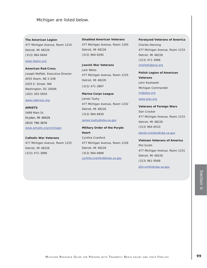#### **The American Legion**

477 Michigan Avenue, Room 1210 Detroit, MI 48226 (313) 964-6640

#### www.legion.org

#### **American Red Cross**

Joseph Moffatt, Executive Director AFES Room, NE 2-038 2025 E. Street, NW Washington, DC 20006 (202) 303-5834

#### www.redcross.org

#### **AMVETS**

5489 Main St. Dryden, MI 48428 (810) 796-3876 www.amvets.org/michigan

#### **Catholic War Veterans**

477 Michigan Avenue, Room 1225 Detroit, MI 48226 (313) 471-3896

#### **Disabled American Veterans** 477 Michigan Avenue, Room 1200

Detroit, MI 48226 (313) 964-6595

**Jewish War Veterans** Jack Weiss 477 Michigan Avenue, Room 1225 Detroit, MI 48226 (313) 471-3897

**Marine Corps League** James Tuohy 477 Michigan Avenue, Room 1232 Detroit, MI 48226 (313) 964-6830

#### james.tuohy@vba.va.gov

# **Military Order of the Purple Heart**

Cynthia Cranford 477 Michigan Avenue, Room 1226 Detroit, MI 48226 (313) 964-6888 cynthia.cranford@vba.va.gov

**Paralyzed Veterans of America** Charles Henning 477 Michigan Avenue, Room 1233 Detroit, MI 48226 (313) 471-3996 charlesh@pva.org

**Polish Legion of American Veterans** John Kozlowski Michigan Commander mi@plav.org

#### www.plav.org

**Veterans of Foreign Wars** Dan Crocker 477 Michigan Avenue, Room 1215 Detroit, MI 48226 (313) 964-6510

#### daniel.crocker@vba.va.gov

**Vietnam Veterans of America** Phil Smith 477 Michigan Avenue, Room 1231 Detroit, MI 48226 (313) 961-9568

phil.smith@vba.va.gov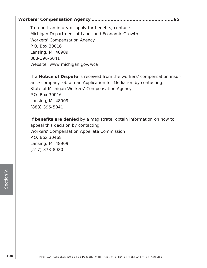# **Workers' Compensation Agency ........................................................65**

To report an injury or apply for benefits, contact: Michigan Department of Labor and Economic Growth Workers' Compensation Agency P.O. Box 30016 Lansing, MI 48909 888-396-5041 Website: www.michigan.gov/wca

If a **Notice of Dispute** is received from the workers' compensation insurance company, obtain an Application for Mediation by contacting: State of Michigan Workers' Compensation Agency P.O. Box 30016 Lansing, MI 48909 (888) 396-5041

If **benefits are denied** by a magistrate, obtain information on how to appeal this decision by contacting: Workers' Compensation Appellate Commission P.O. Box 30468 Lansing, MI 48909 (517) 373-8020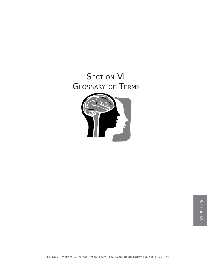# **SECTION VI** GLOSSARY OF TERMS



*MICHIGAN RESOURCE GUIDE FOR PERSONS WITH TRAUMATIC BRAIN INJURY AND THEIR FAMILIES*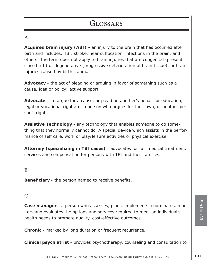# A

**Acquired brain injury (ABI) -** an injury to the brain that has occurred after birth and includes: TBI, stroke, near suffocation, infections in the brain, and others. The term does not apply to brain injuries that are congenital (present since birth) or degenerative (progressive deterioration of brain tissue), or brain injuries caused by birth trauma.

**Advocacy** - the act of pleading or arguing in favor of something such as a cause, idea or policy; active support.

**Advocate** - to argue for a cause, or plead on another's behalf for education, legal or vocational rights; or a person who argues for their own, or another person's rights.

**Assistive Technology** - any technology that enables someone to do something that they normally cannot do. A special device which assists in the performance of self care, work or play/leisure activities or physical exercise.

**Attorney (specializing in TBI cases)** - advocates for fair medical treatment, services and compensation for persons with TBI and their families.

# B

**Beneficiary** - the person named to receive benefits.

# $\mathcal{C}$

**Case manager** - a person who assesses, plans, implements, coordinates, monitors and evaluates the options and services required to meet an individual's health needs to promote quality, cost-effective outcomes.

**Chronic** - marked by long duration or frequent recurrence.

**Clinical psychiatrist** - provides psychotherapy, counseling and consultation to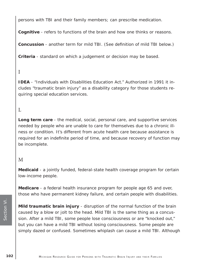persons with TBI and their family members; can prescribe medication.

**Cognitive** - refers to functions of the brain and how one thinks or reasons.

**Concussion** - another term for mild TBI. (See definition of mild TBI below.)

**Criteria** - standard on which a judgement or decision may be based.

# I

**IDEA** - "Individuals with Disabilities Education Act." Authorized in 1991 it includes "traumatic brain injury" as a disability category for those students requiring special education services.

# $\mathbf{L}$

**Long term care** - the medical, social, personal care, and supportive services needed by people who are unable to care for themselves due to a chronic illness or condition. It's different from acute health care because assistance is required for an indefinite period of time, and because recovery of function may be incomplete.

# M

**Medicaid** - a jointly funded, federal-state health coverage program for certain low-income people.

**Medicare** - a federal health insurance program for people age 65 and over, those who have permanent kidney failure, and certain people with disabilities.

**102 Mild traumatic brain injury** - disruption of the normal function of the caused by a blow or jolt to the head. Mild TBI is the same thing as a c sion. After a mild TBI, some people lose consciousness or are "knocked **Mild traumatic brain injury** - disruption of the normal function of the brain caused by a blow or jolt to the head. Mild TBI is the same thing as a concussion. After a mild TBI, some people lose consciousness or are "knocked out," but you can have a mild TBI without losing consciousness. Some people are simply dazed or confused. Sometimes whiplash can cause a mild TBI. Although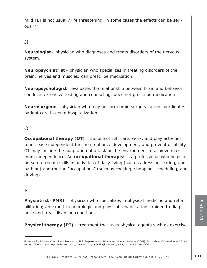mild TBI is not usually life threatening, in some cases the effects can be serious.19

# N

**Neurologist** - physician who diagnoses and treats disorders of the nervous system.

**Neuropsychiatrist** - physician who specializes in treating disorders of the brain, nerves and muscles; can prescribe medication.

**Neuropsychologist** - evaluates the relationship between brain and behavior; conducts extensive testing and counseling; does not prescribe medication.

**Neurosurgeon** - physician who may perform brain surgery; often coordinates patient care in acute hospitalization.

# $\Omega$

**Occupational therapy (OT)** - the use of self-care, work, and play activities to increase independent function, enhance development, and prevent disability. OT may include the adaptation of a task or the environment to achieve maximum independence. An **occupational therapist** is a professional who helps a person to regain skills in activities of daily living (such as dressing, eating, and bathing) and routine "occupations" (such as cooking, shopping, scheduling, and driving).

# P

**ET (PINIR)** - physician who specializes in physical medicine and rena-<br>an expert in neurologic and physical rehabilitation, trained to diag-<br>reat disabling conditions.<br>**Therapy (PT)** - treatment that uses physical agents **Physiatrist (PMR)** - physician who specializes in physical medicine and rehabilitation; an expert in neurologic and physical rehabilitation, trained to diagnose and treat disabling conditions.

**Physical therapy (PT)** - treatment that uses physical agents such as exercise

<sup>19</sup>Centers for Disease Control and Prevention. U.S. Department of Health and Human Services (2007). Facts about Concussion and Brain Injury: Where to get help. Web site: http://0-www.cdc.gov.mill1.sjlibrary.org/ncipc/tbi/default.htm#PDF.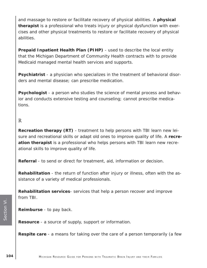and massage to restore or facilitate recovery of physical abilities. A **physical therapist** is a professional who treats injury or physical dysfunction with exercises and other physical treatments to restore or facilitate recovery of physical abilities.

**Prepaid Inpatient Health Plan (PIHP)** - used to describe the local entity that the Michigan Department of Community Health contracts with to provide Medicaid managed mental health services and supports.

**Psychiatrist** - a physician who specializes in the treatment of behavioral disorders and mental disease; can prescribe medication.

**Psychologist** - a person who studies the science of mental process and behavior and conducts extensive testing and counseling; cannot prescribe medications.

# R

**Recreation therapy (RT)** - treatment to help persons with TBI learn new leisure and recreational skills or adapt old ones to improve quality of life. A **recreation therapist** is a professional who helps persons with TBI learn new recreational skills to improve quality of life.

**Referral** - to send or direct for treatment, aid, information or decision.

**Rehabilitation** - the return of function after injury or illness, often with the assistance of a variety of medical professionals.

**Rehabilitation services**- services that help a person recover and improve from TBI.

**Reimburse** - to pay back.

**Resource** - a source of supply, support or information.

**104 Resource** - a source of supply, support or information.<br> **104** *MICHIGAN RESOURCE GUIDE FOR PERSONS WITH TRAUMATIC BRAIN INJURY AND THEIR FAMILIES* **Respite care** - a means for taking over the care of a person temporarily (a few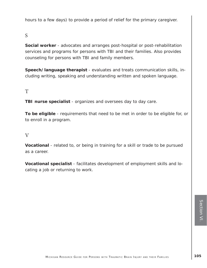hours to a few days) to provide a period of relief for the primary caregiver.

S

**Social worker** - advocates and arranges post-hospital or post-rehabilitation services and programs for persons with TBI and their families. Also provides counseling for persons with TBI and family members.

**Speech/language therapist** - evaluates and treats communication skills, including writing, speaking and understanding written and spoken language.

# T

**TBI nurse specialist** - organizes and oversees day to day care.

**To be eligible** - requirements that need to be met in order to be eligible for, or to enroll in a program.

# V

**Vocational** - related to, or being in training for a skill or trade to be pursued as a career.

**Vocational specialist** - facilitates development of employment skills and locating a job or returning to work.